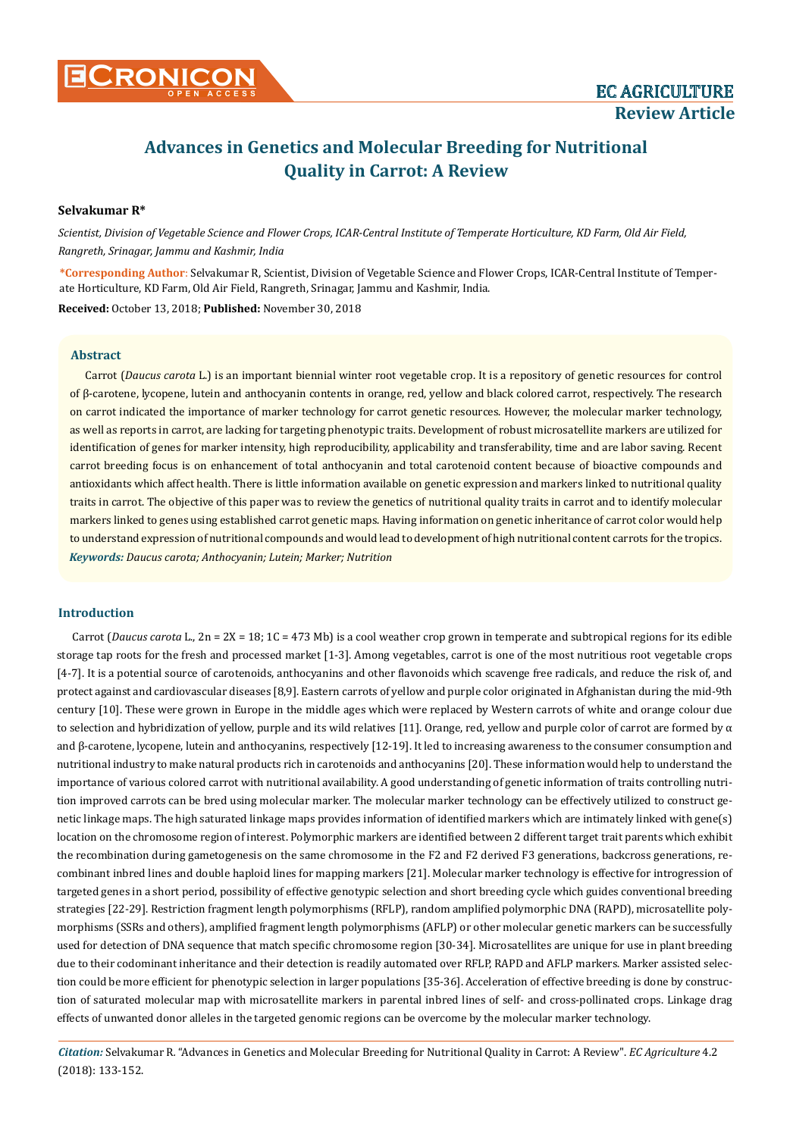# **Selvakumar R\***

*Scientist, Division of Vegetable Science and Flower Crops, ICAR-Central Institute of Temperate Horticulture, KD Farm, Old Air Field, Rangreth, Srinagar, Jammu and Kashmir, India*

**\*Corresponding Author**: Selvakumar R, Scientist, Division of Vegetable Science and Flower Crops, ICAR-Central Institute of Temperate Horticulture, KD Farm, Old Air Field, Rangreth, Srinagar, Jammu and Kashmir, India. **Received:** October 13, 2018; **Published:** November 30, 2018

# **Abstract**

*Keywords: Daucus carota; Anthocyanin; Lutein; Marker; Nutrition* Carrot (*Daucus carota* L.) is an important biennial winter root vegetable crop. It is a repository of genetic resources for control of β-carotene, lycopene, lutein and anthocyanin contents in orange, red, yellow and black colored carrot, respectively. The research on carrot indicated the importance of marker technology for carrot genetic resources. However, the molecular marker technology, as well as reports in carrot, are lacking for targeting phenotypic traits. Development of robust microsatellite markers are utilized for identification of genes for marker intensity, high reproducibility, applicability and transferability, time and are labor saving. Recent carrot breeding focus is on enhancement of total anthocyanin and total carotenoid content because of bioactive compounds and antioxidants which affect health. There is little information available on genetic expression and markers linked to nutritional quality traits in carrot. The objective of this paper was to review the genetics of nutritional quality traits in carrot and to identify molecular markers linked to genes using established carrot genetic maps. Having information on genetic inheritance of carrot color would help to understand expression of nutritional compounds and would lead to development of high nutritional content carrots for the tropics.

# **Introduction**

Carrot (*Daucus carota* L., 2n = 2X = 18; 1C = 473 Mb) is a cool weather crop grown in temperate and subtropical regions for its edible storage tap roots for the fresh and processed market [1-3]. Among vegetables, carrot is one of the most nutritious root vegetable crops [4-7]. It is a potential source of carotenoids, anthocyanins and other flavonoids which scavenge free radicals, and reduce the risk of, and protect against and cardiovascular diseases [8,9]. Eastern carrots of yellow and purple color originated in Afghanistan during the mid-9th century [10]. These were grown in Europe in the middle ages which were replaced by Western carrots of white and orange colour due to selection and hybridization of yellow, purple and its wild relatives [11]. Orange, red, yellow and purple color of carrot are formed by  $\alpha$ and β-carotene, lycopene, lutein and anthocyanins, respectively [12-19]. It led to increasing awareness to the consumer consumption and nutritional industry to make natural products rich in carotenoids and anthocyanins [20]. These information would help to understand the importance of various colored carrot with nutritional availability. A good understanding of genetic information of traits controlling nutrition improved carrots can be bred using molecular marker. The molecular marker technology can be effectively utilized to construct genetic linkage maps. The high saturated linkage maps provides information of identified markers which are intimately linked with gene(s) location on the chromosome region of interest. Polymorphic markers are identified between 2 different target trait parents which exhibit the recombination during gametogenesis on the same chromosome in the F2 and F2 derived F3 generations, backcross generations, recombinant inbred lines and double haploid lines for mapping markers [21]. Molecular marker technology is effective for introgression of targeted genes in a short period, possibility of effective genotypic selection and short breeding cycle which guides conventional breeding strategies [22-29]. Restriction fragment length polymorphisms (RFLP), random amplified polymorphic DNA (RAPD), microsatellite polymorphisms (SSRs and others), amplified fragment length polymorphisms (AFLP) or other molecular genetic markers can be successfully used for detection of DNA sequence that match specific chromosome region [30-34]. Microsatellites are unique for use in plant breeding due to their codominant inheritance and their detection is readily automated over RFLP, RAPD and AFLP markers. Marker assisted selection could be more efficient for phenotypic selection in larger populations [35-36]. Acceleration of effective breeding is done by construction of saturated molecular map with microsatellite markers in parental inbred lines of self- and cross-pollinated crops. Linkage drag effects of unwanted donor alleles in the targeted genomic regions can be overcome by the molecular marker technology.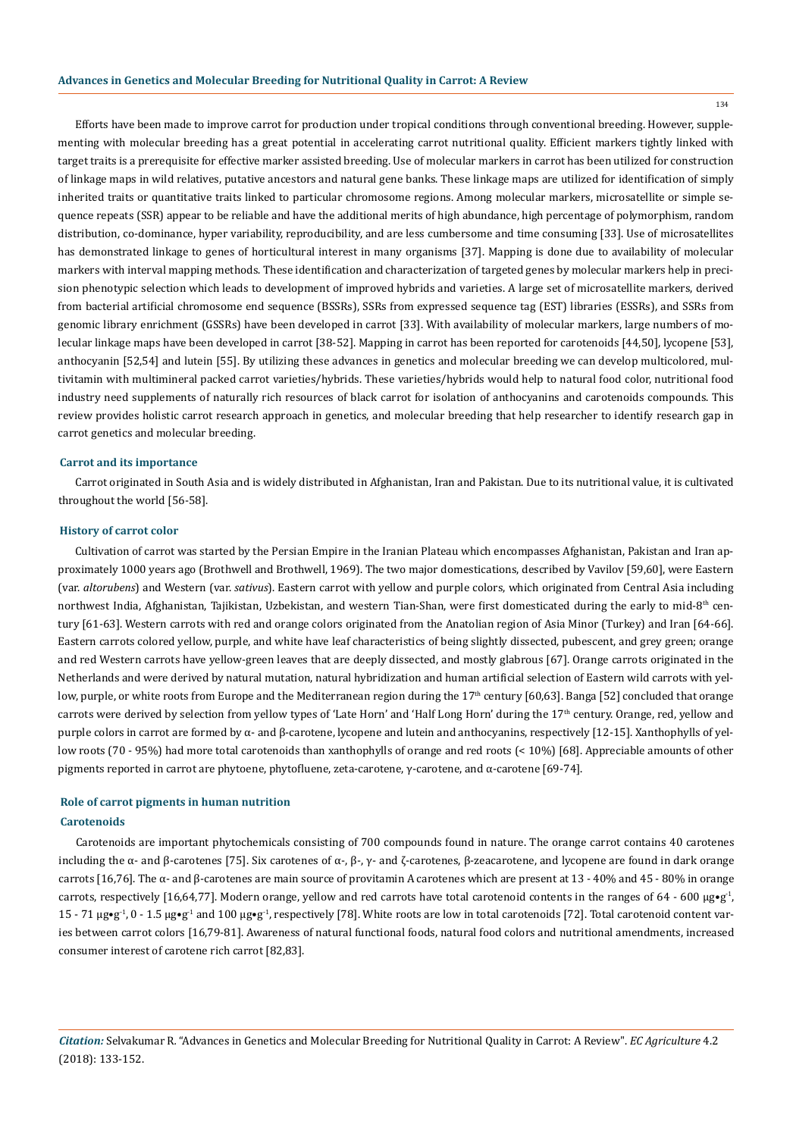Efforts have been made to improve carrot for production under tropical conditions through conventional breeding. However, supplementing with molecular breeding has a great potential in accelerating carrot nutritional quality. Efficient markers tightly linked with target traits is a prerequisite for effective marker assisted breeding. Use of molecular markers in carrot has been utilized for construction of linkage maps in wild relatives, putative ancestors and natural gene banks. These linkage maps are utilized for identification of simply inherited traits or quantitative traits linked to particular chromosome regions. Among molecular markers, microsatellite or simple sequence repeats (SSR) appear to be reliable and have the additional merits of high abundance, high percentage of polymorphism, random distribution, co-dominance, hyper variability, reproducibility, and are less cumbersome and time consuming [33]. Use of microsatellites has demonstrated linkage to genes of horticultural interest in many organisms [37]. Mapping is done due to availability of molecular markers with interval mapping methods. These identification and characterization of targeted genes by molecular markers help in precision phenotypic selection which leads to development of improved hybrids and varieties. A large set of microsatellite markers, derived from bacterial artificial chromosome end sequence (BSSRs), SSRs from expressed sequence tag (EST) libraries (ESSRs), and SSRs from genomic library enrichment (GSSRs) have been developed in carrot [33]. With availability of molecular markers, large numbers of molecular linkage maps have been developed in carrot [38-52]. Mapping in carrot has been reported for carotenoids [44,50], lycopene [53], anthocyanin [52,54] and lutein [55]. By utilizing these advances in genetics and molecular breeding we can develop multicolored, multivitamin with multimineral packed carrot varieties/hybrids. These varieties/hybrids would help to natural food color, nutritional food industry need supplements of naturally rich resources of black carrot for isolation of anthocyanins and carotenoids compounds. This review provides holistic carrot research approach in genetics, and molecular breeding that help researcher to identify research gap in carrot genetics and molecular breeding.

### **Carrot and its importance**

Carrot originated in South Asia and is widely distributed in Afghanistan, Iran and Pakistan. Due to its nutritional value, it is cultivated throughout the world [56-58].

# **History of carrot color**

Cultivation of carrot was started by the Persian Empire in the Iranian Plateau which encompasses Afghanistan, Pakistan and Iran approximately 1000 years ago (Brothwell and Brothwell, 1969). The two major domestications, described by Vavilov [59,60], were Eastern (var. *altorubens*) and Western (var. *sativus*). Eastern carrot with yellow and purple colors, which originated from Central Asia including northwest India, Afghanistan, Tajikistan, Uzbekistan, and western Tian-Shan, were first domesticated during the early to mid-8<sup>th</sup> century [61-63]. Western carrots with red and orange colors originated from the Anatolian region of Asia Minor (Turkey) and Iran [64-66]. Eastern carrots colored yellow, purple, and white have leaf characteristics of being slightly dissected, pubescent, and grey green; orange and red Western carrots have yellow-green leaves that are deeply dissected, and mostly glabrous [67]. Orange carrots originated in the Netherlands and were derived by natural mutation, natural hybridization and human artificial selection of Eastern wild carrots with yellow, purple, or white roots from Europe and the Mediterranean region during the 17<sup>th</sup> century [60,63]. Banga [52] concluded that orange carrots were derived by selection from yellow types of 'Late Horn' and 'Half Long Horn' during the 17<sup>th</sup> century. Orange, red, yellow and purple colors in carrot are formed by α- and β-carotene, lycopene and lutein and anthocyanins, respectively [12-15]. Xanthophylls of yellow roots (70 - 95%) had more total carotenoids than xanthophylls of orange and red roots (< 10%) [68]. Appreciable amounts of other pigments reported in carrot are phytoene, phytofluene, zeta-carotene, γ-carotene, and α-carotene [69-74].

# **Carotenoids Role of carrot pigments in human nutrition**

Carotenoids are important phytochemicals consisting of 700 compounds found in nature. The orange carrot contains 40 carotenes including the α- and β-carotenes [75]. Six carotenes of α-, β-,  $\gamma$ - and ζ-carotenes, β-zeacarotene, and lycopene are found in dark orange carrots [16,76]. The α- and β-carotenes are main source of provitamin A carotenes which are present at 13 - 40% and 45 - 80% in orange carrots, respectively [16,64,77]. Modern orange, yellow and red carrots have total carotenoid contents in the ranges of 64 - 600  $\mu$ g•g<sup>-1</sup>, 15 - 71 μg•g<sup>-1</sup>, 0 - 1.5 μg•g<sup>-1</sup> and 100 μg•g<sup>-1</sup>, respectively [78]. White roots are low in total carotenoids [72]. Total carotenoid content varies between carrot colors [16,79-81]. Awareness of natural functional foods, natural food colors and nutritional amendments, increased consumer interest of carotene rich carrot [82,83].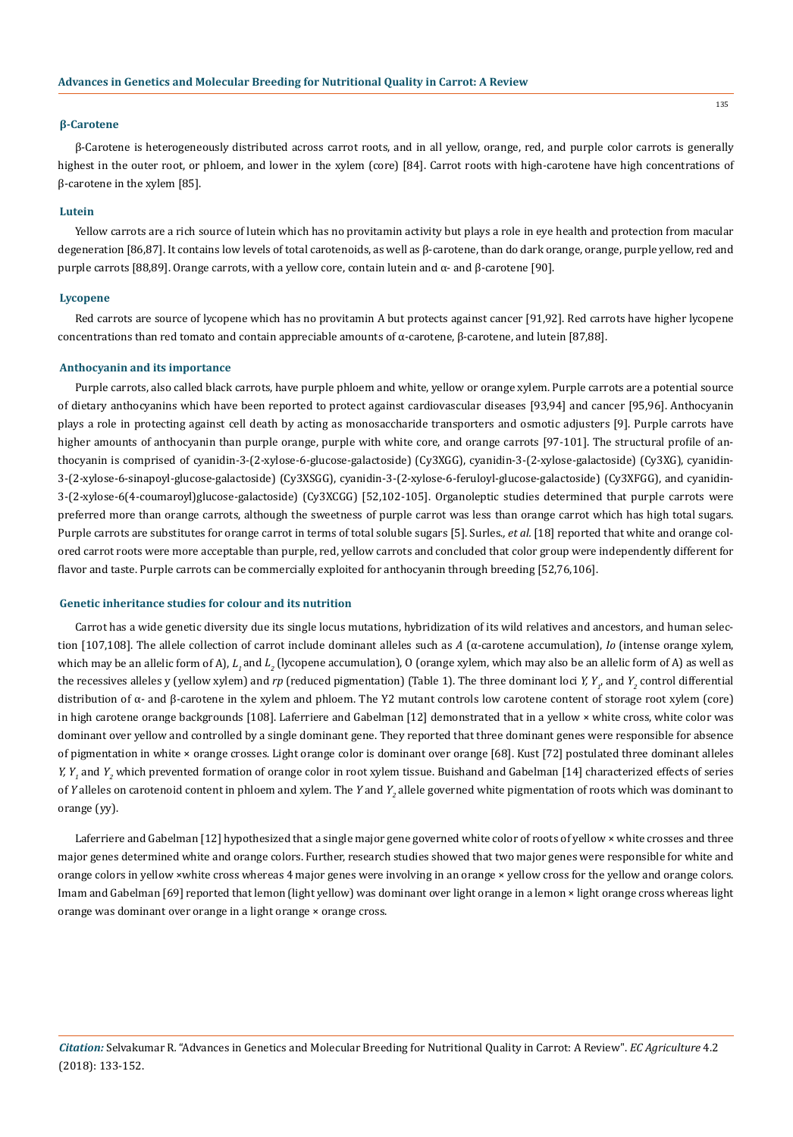# **β-Carotene**

β-Carotene is heterogeneously distributed across carrot roots, and in all yellow, orange, red, and purple color carrots is generally highest in the outer root, or phloem, and lower in the xylem (core) [84]. Carrot roots with high-carotene have high concentrations of β-carotene in the xylem [85].

# **Lutein**

Yellow carrots are a rich source of lutein which has no provitamin activity but plays a role in eye health and protection from macular degeneration [86,87]. It contains low levels of total carotenoids, as well as β-carotene, than do dark orange, orange, purple yellow, red and purple carrots [88,89]. Orange carrots, with a yellow core, contain lutein and α- and β-carotene [90].

### **Lycopene**

Red carrots are source of lycopene which has no provitamin A but protects against cancer [91,92]. Red carrots have higher lycopene concentrations than red tomato and contain appreciable amounts of α-carotene, β-carotene, and lutein [87,88].

#### **Anthocyanin and its importance**

Purple carrots, also called black carrots, have purple phloem and white, yellow or orange xylem. Purple carrots are a potential source of dietary anthocyanins which have been reported to protect against cardiovascular diseases [93,94] and cancer [95,96]. Anthocyanin plays a role in protecting against cell death by acting as monosaccharide transporters and osmotic adjusters [9]. Purple carrots have higher amounts of anthocyanin than purple orange, purple with white core, and orange carrots [97-101]. The structural profile of anthocyanin is comprised of cyanidin-3-(2-xylose-6-glucose-galactoside) (Cy3XGG), cyanidin-3-(2-xylose-galactoside) (Cy3XG), cyanidin-3-(2-xylose-6-sinapoyl-glucose-galactoside) (Cy3XSGG), cyanidin-3-(2-xylose-6-feruloyl-glucose-galactoside) (Cy3XFGG), and cyanidin-3-(2-xylose-6(4-coumaroyl)glucose-galactoside) (Cy3XCGG) [52,102-105]. Organoleptic studies determined that purple carrots were preferred more than orange carrots, although the sweetness of purple carrot was less than orange carrot which has high total sugars. Purple carrots are substitutes for orange carrot in terms of total soluble sugars [5]. Surles.*, et al.* [18] reported that white and orange colored carrot roots were more acceptable than purple, red, yellow carrots and concluded that color group were independently different for flavor and taste. Purple carrots can be commercially exploited for anthocyanin through breeding [52,76,106].

### **Genetic inheritance studies for colour and its nutrition**

Carrot has a wide genetic diversity due its single locus mutations, hybridization of its wild relatives and ancestors, and human selection [107,108]. The allele collection of carrot include dominant alleles such as *A* (α-carotene accumulation), *Io* (intense orange xylem, which may be an allelic form of A),  $L_{_I}$  and  $L_{_2}$  (lycopene accumulation), O (orange xylem, which may also be an allelic form of A) as well as the recessives alleles y (yellow xylem) and *rp* (reduced pigmentation) (Table 1). The three dominant loci *Y, Y<sub>1</sub>*, and *Y<sub>2</sub>* control differential distribution of α- and β-carotene in the xylem and phloem. The Y2 mutant controls low carotene content of storage root xylem (core) in high carotene orange backgrounds [108]. Laferriere and Gabelman [12] demonstrated that in a yellow × white cross, white color was dominant over yellow and controlled by a single dominant gene. They reported that three dominant genes were responsible for absence of pigmentation in white × orange crosses. Light orange color is dominant over orange [68]. Kust [72] postulated three dominant alleles *Y, Y<sub>1</sub>* and *Y<sub>2</sub>* which prevented formation of orange color in root xylem tissue. Buishand and Gabelman [14] characterized effects of series of *Y* alleles on carotenoid content in phloem and xylem. The *Y* and *Y*<sub>2</sub> allele governed white pigmentation of roots which was dominant to orange (yy).

Laferriere and Gabelman [12] hypothesized that a single major gene governed white color of roots of yellow × white crosses and three major genes determined white and orange colors. Further, research studies showed that two major genes were responsible for white and orange colors in yellow ×white cross whereas 4 major genes were involving in an orange × yellow cross for the yellow and orange colors. Imam and Gabelman [69] reported that lemon (light yellow) was dominant over light orange in a lemon × light orange cross whereas light orange was dominant over orange in a light orange × orange cross.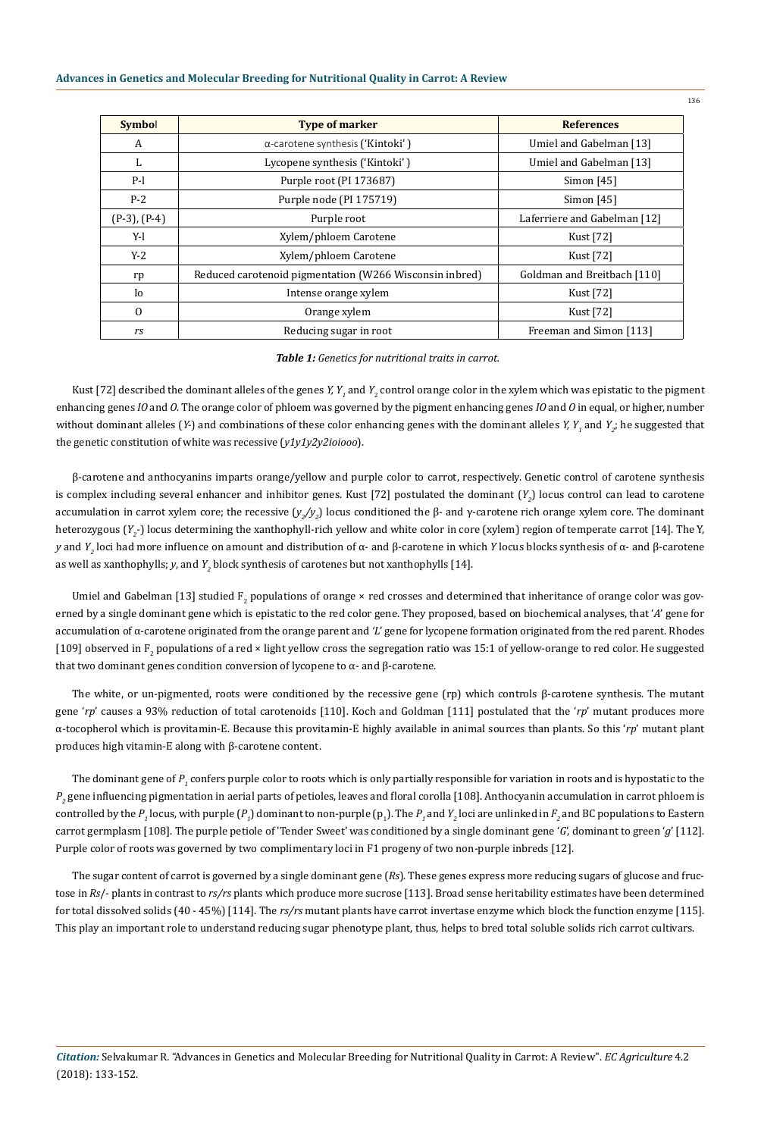| <b>Symbol</b>     | <b>Type of marker</b>                                   | <b>References</b>            |  |  |
|-------------------|---------------------------------------------------------|------------------------------|--|--|
| A                 | $\alpha$ -carotene synthesis ('Kintoki')                | Umiel and Gabelman [13]      |  |  |
| L                 | Lycopene synthesis ('Kintoki')                          | Umiel and Gabelman [13]      |  |  |
| $P-I$             | Purple root (PI 173687)                                 | Simon $[45]$                 |  |  |
| $P-2$             | Purple node (PI 175719)                                 | Simon $[45]$                 |  |  |
| $(P-3)$ , $(P-4)$ | Purple root                                             | Laferriere and Gabelman [12] |  |  |
| Y-l               | Xylem/phloem Carotene                                   | Kust [72]                    |  |  |
| $Y-2$             | Xylem/phloem Carotene                                   | Kust [72]                    |  |  |
| rp                | Reduced carotenoid pigmentation (W266 Wisconsin inbred) | Goldman and Breitbach [110]  |  |  |
| Io                | Intense orange xylem                                    | Kust [72]                    |  |  |
| $\mathbf{0}$      | Orange xylem                                            | Kust [72]                    |  |  |
| rs                | Reducing sugar in root                                  | Freeman and Simon [113]      |  |  |

# *Table 1: Genetics for nutritional traits in carrot.*

Kust [72] described the dominant alleles of the genes *Y, Y<sub>1</sub>* and *Y<sub>2</sub>* control orange color in the xylem which was epistatic to the pigment enhancing genes *IO* and *O*. The orange color of phloem was governed by the pigment enhancing genes *IO* and *O* in equal, or higher, number without dominant alleles (*Y*-) and combinations of these color enhancing genes with the dominant alleles *Y, Y<sub>1</sub>* and *Y<sub>2</sub>*; he suggested that the genetic constitution of white was recessive (*y1y1y2y2ioiooo*).

β-carotene and anthocyanins imparts orange/yellow and purple color to carrot, respectively. Genetic control of carotene synthesis is complex including several enhancer and inhibitor genes. Kust [72] postulated the dominant (Y<sub>2</sub>) locus control can lead to carotene accumulation in carrot xylem core; the recessive (*y<sub>2</sub>*/y<sub>2</sub>) locus conditioned the β- and γ-carotene rich orange xylem core. The dominant heterozygous (Y<sub>2</sub>-) locus determining the xanthophyll-rich yellow and white color in core (xylem) region of temperate carrot [14]. The Y, *y* and *Y2* loci had more influence on amount and distribution of α- and β-carotene in which *Y* locus blocks synthesis of α- and β-carotene as well as xanthophylls; *y*, and  $Y_{2}$  block synthesis of carotenes but not xanthophylls [14].

Umiel and Gabelman [13] studied  $F_2$  populations of orange × red crosses and determined that inheritance of orange color was governed by a single dominant gene which is epistatic to the red color gene. They proposed, based on biochemical analyses, that '*A*' gene for accumulation of α-carotene originated from the orange parent and *'L*' gene for lycopene formation originated from the red parent. Rhodes [109] observed in  $F_2$  populations of a red × light yellow cross the segregation ratio was 15:1 of yellow-orange to red color. He suggested that two dominant genes condition conversion of lycopene to  $α$ - and  $β$ -carotene.

The white, or un-pigmented, roots were conditioned by the recessive gene (rp) which controls β-carotene synthesis. The mutant gene '*rp*' causes a 93% reduction of total carotenoids [110]. Koch and Goldman [111] postulated that the '*rp*' mutant produces more α-tocopherol which is provitamin-E. Because this provitamin-E highly available in animal sources than plants. So this '*rp*' mutant plant produces high vitamin-E along with β-carotene content.

The dominant gene of  $P_i$  confers purple color to roots which is only partially responsible for variation in roots and is hypostatic to the  $P_{_2}$  gene influencing pigmentation in aerial parts of petioles, leaves and floral corolla [108]. Anthocyanin accumulation in carrot phloem is controlled by the  $P$ <sub>1</sub> locus, with purple ( $P$ <sub>1</sub>) dominant to non-purple ( $p$ <sub>1</sub>). The  $P$ <sub>1</sub> and  $Y$ <sub>2</sub> loci are unlinked in  $F$ <sub>2</sub> and BC populations to Eastern carrot germplasm [108]. The purple petiole of 'Tender Sweet' was conditioned by a single dominant gene '*G*', dominant to green '*g*' [112]. Purple color of roots was governed by two complimentary loci in F1 progeny of two non-purple inbreds [12].

The sugar content of carrot is governed by a single dominant gene (*Rs*). These genes express more reducing sugars of glucose and fructose in *Rs*/- plants in contrast to *rs/rs* plants which produce more sucrose [113]. Broad sense heritability estimates have been determined for total dissolved solids (40 - 45%) [114]. The *rs/rs* mutant plants have carrot invertase enzyme which block the function enzyme [115]. This play an important role to understand reducing sugar phenotype plant, thus, helps to bred total soluble solids rich carrot cultivars.

*Citation:* Selvakumar R*.* "Advances in Genetics and Molecular Breeding for Nutritional Quality in Carrot: A Review". *EC Agriculture* 4.2 (2018): 133-152.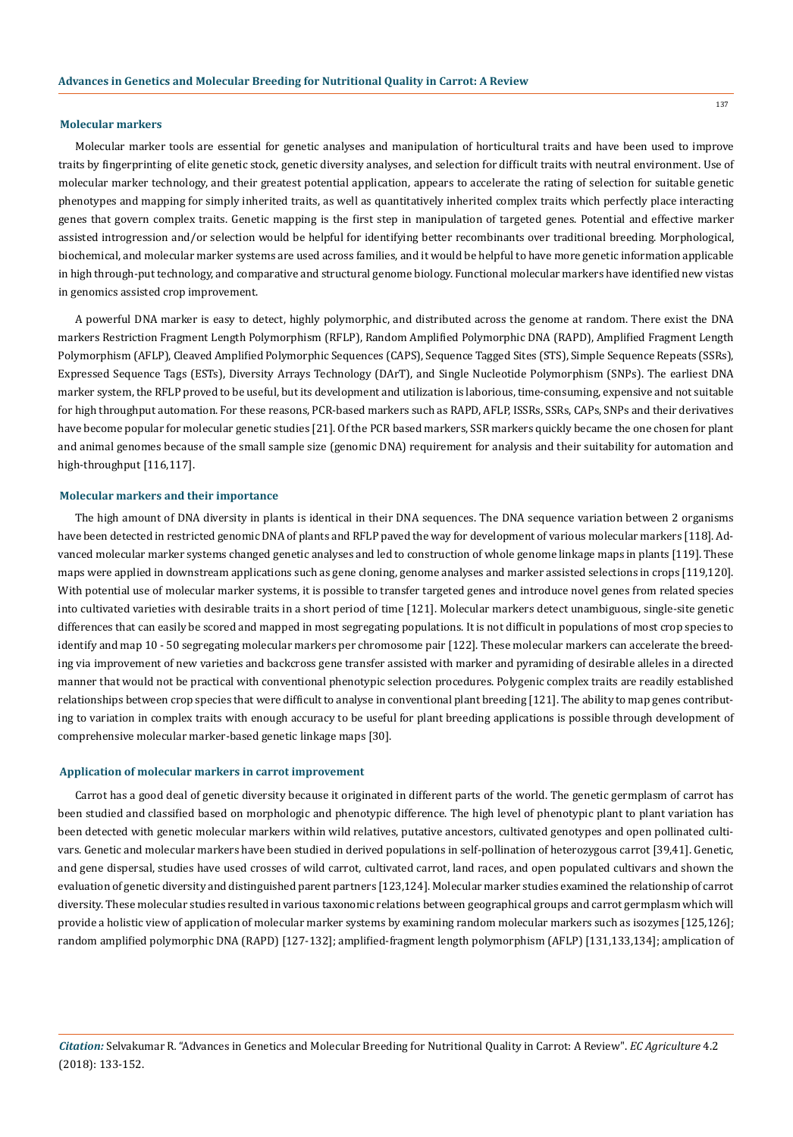#### **Molecular markers**

Molecular marker tools are essential for genetic analyses and manipulation of horticultural traits and have been used to improve traits by fingerprinting of elite genetic stock, genetic diversity analyses, and selection for difficult traits with neutral environment. Use of molecular marker technology, and their greatest potential application, appears to accelerate the rating of selection for suitable genetic phenotypes and mapping for simply inherited traits, as well as quantitatively inherited complex traits which perfectly place interacting genes that govern complex traits. Genetic mapping is the first step in manipulation of targeted genes. Potential and effective marker assisted introgression and/or selection would be helpful for identifying better recombinants over traditional breeding. Morphological, biochemical, and molecular marker systems are used across families, and it would be helpful to have more genetic information applicable in high through-put technology, and comparative and structural genome biology. Functional molecular markers have identified new vistas in genomics assisted crop improvement.

A powerful DNA marker is easy to detect, highly polymorphic, and distributed across the genome at random. There exist the DNA markers Restriction Fragment Length Polymorphism (RFLP), Random Amplified Polymorphic DNA (RAPD), Amplified Fragment Length Polymorphism (AFLP), Cleaved Amplified Polymorphic Sequences (CAPS), Sequence Tagged Sites (STS), Simple Sequence Repeats (SSRs), Expressed Sequence Tags (ESTs), Diversity Arrays Technology (DArT), and Single Nucleotide Polymorphism (SNPs). The earliest DNA marker system, the RFLP proved to be useful, but its development and utilization is laborious, time-consuming, expensive and not suitable for high throughput automation. For these reasons, PCR-based markers such as RAPD, AFLP, ISSRs, SSRs, CAPs, SNPs and their derivatives have become popular for molecular genetic studies [21]. Of the PCR based markers, SSR markers quickly became the one chosen for plant and animal genomes because of the small sample size (genomic DNA) requirement for analysis and their suitability for automation and high-throughput [116,117].

#### **Molecular markers and their importance**

The high amount of DNA diversity in plants is identical in their DNA sequences. The DNA sequence variation between 2 organisms have been detected in restricted genomic DNA of plants and RFLP paved the way for development of various molecular markers [118]. Advanced molecular marker systems changed genetic analyses and led to construction of whole genome linkage maps in plants [119]. These maps were applied in downstream applications such as gene cloning, genome analyses and marker assisted selections in crops [119,120]. With potential use of molecular marker systems, it is possible to transfer targeted genes and introduce novel genes from related species into cultivated varieties with desirable traits in a short period of time [121]. Molecular markers detect unambiguous, single-site genetic differences that can easily be scored and mapped in most segregating populations. It is not difficult in populations of most crop species to identify and map 10 - 50 segregating molecular markers per chromosome pair [122]. These molecular markers can accelerate the breeding via improvement of new varieties and backcross gene transfer assisted with marker and pyramiding of desirable alleles in a directed manner that would not be practical with conventional phenotypic selection procedures. Polygenic complex traits are readily established relationships between crop species that were difficult to analyse in conventional plant breeding [121]. The ability to map genes contributing to variation in complex traits with enough accuracy to be useful for plant breeding applications is possible through development of comprehensive molecular marker-based genetic linkage maps [30].

#### **Application of molecular markers in carrot improvement**

Carrot has a good deal of genetic diversity because it originated in different parts of the world. The genetic germplasm of carrot has been studied and classified based on morphologic and phenotypic difference. The high level of phenotypic plant to plant variation has been detected with genetic molecular markers within wild relatives, putative ancestors, cultivated genotypes and open pollinated cultivars. Genetic and molecular markers have been studied in derived populations in self-pollination of heterozygous carrot [39,41]. Genetic, and gene dispersal, studies have used crosses of wild carrot, cultivated carrot, land races, and open populated cultivars and shown the evaluation of genetic diversity and distinguished parent partners [123,124]. Molecular marker studies examined the relationship of carrot diversity. These molecular studies resulted in various taxonomic relations between geographical groups and carrot germplasm which will provide a holistic view of application of molecular marker systems by examining random molecular markers such as isozymes [125,126]; random amplified polymorphic DNA (RAPD) [127-132]; amplified-fragment length polymorphism (AFLP) [131,133,134]; amplication of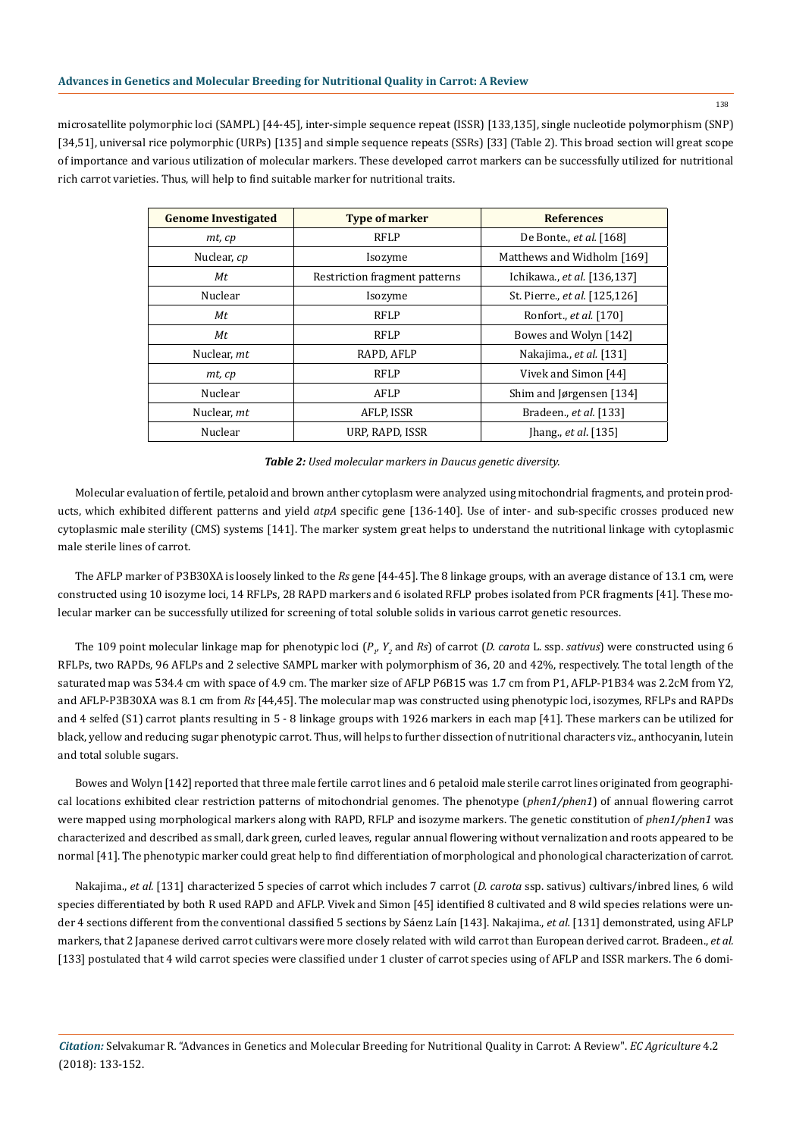microsatellite polymorphic loci (SAMPL) [44-45], inter-simple sequence repeat (ISSR) [133,135], single nucleotide polymorphism (SNP) [34,51], universal rice polymorphic (URPs) [135] and simple sequence repeats (SSRs) [33] (Table 2). This broad section will great scope of importance and various utilization of molecular markers. These developed carrot markers can be successfully utilized for nutritional rich carrot varieties. Thus, will help to find suitable marker for nutritional traits.

| <b>Genome Investigated</b> | <b>Type of marker</b>         | <b>References</b>              |  |  |
|----------------------------|-------------------------------|--------------------------------|--|--|
| $m$ t, $cp$                | <b>RFLP</b>                   | De Bonte., <i>et al.</i> [168] |  |  |
| Nuclear, cp                | Isozyme                       | Matthews and Widholm [169]     |  |  |
| Mt                         | Restriction fragment patterns | Ichikawa., et al. [136,137]    |  |  |
| Nuclear                    | Isozyme                       | St. Pierre., et al. [125,126]  |  |  |
| Мt                         | <b>RFLP</b>                   | Ronfort., et al. [170]         |  |  |
| Мt                         | <b>RFLP</b>                   | Bowes and Wolyn [142]          |  |  |
| Nuclear, mt                | RAPD, AFLP                    | Nakajima., et al. [131]        |  |  |
| $m$ t, $cp$                | <b>RFLP</b>                   | Vivek and Simon [44]           |  |  |
| Nuclear                    | AFLP                          | Shim and Jørgensen [134]       |  |  |
| Nuclear, <i>mt</i>         | AFLP, ISSR                    | Bradeen., <i>et al.</i> [133]  |  |  |
| Nuclear                    | URP, RAPD, ISSR               | [hang., $et$ al. [135]         |  |  |

*Table 2: Used molecular markers in Daucus genetic diversity.*

Molecular evaluation of fertile, petaloid and brown anther cytoplasm were analyzed using mitochondrial fragments, and protein products, which exhibited different patterns and yield *atpA* specific gene [136-140]. Use of inter- and sub-specific crosses produced new cytoplasmic male sterility (CMS) systems [141]. The marker system great helps to understand the nutritional linkage with cytoplasmic male sterile lines of carrot.

The AFLP marker of P3B30XA is loosely linked to the *Rs* gene [44-45]. The 8 linkage groups, with an average distance of 13.1 cm, were constructed using 10 isozyme loci, 14 RFLPs, 28 RAPD markers and 6 isolated RFLP probes isolated from PCR fragments [41]. These molecular marker can be successfully utilized for screening of total soluble solids in various carrot genetic resources.

The 109 point molecular linkage map for phenotypic loci (*P<sub>1</sub>, Y<sub>2</sub>* and *Rs*) of carrot (*D. carota L. ssp. sativus*) were constructed using 6 RFLPs, two RAPDs, 96 AFLPs and 2 selective SAMPL marker with polymorphism of 36, 20 and 42%, respectively. The total length of the saturated map was 534.4 cm with space of 4.9 cm. The marker size of AFLP P6B15 was 1.7 cm from P1, AFLP-P1B34 was 2.2cM from Y2, and AFLP-P3B30XA was 8.1 cm from *Rs* [44,45]. The molecular map was constructed using phenotypic loci, isozymes, RFLPs and RAPDs and 4 selfed (S1) carrot plants resulting in 5 - 8 linkage groups with 1926 markers in each map [41]. These markers can be utilized for black, yellow and reducing sugar phenotypic carrot. Thus, will helps to further dissection of nutritional characters viz., anthocyanin, lutein and total soluble sugars.

Bowes and Wolyn [142] reported that three male fertile carrot lines and 6 petaloid male sterile carrot lines originated from geographical locations exhibited clear restriction patterns of mitochondrial genomes. The phenotype (*phen1/phen1*) of annual flowering carrot were mapped using morphological markers along with RAPD, RFLP and isozyme markers. The genetic constitution of *phen1/phen1* was characterized and described as small, dark green, curled leaves, regular annual flowering without vernalization and roots appeared to be normal [41]. The phenotypic marker could great help to find differentiation of morphological and phonological characterization of carrot.

Nakajima., *et al.* [131] characterized 5 species of carrot which includes 7 carrot (*D. carota* ssp. sativus) cultivars/inbred lines, 6 wild species differentiated by both R used RAPD and AFLP. Vivek and Simon [45] identified 8 cultivated and 8 wild species relations were under 4 sections different from the conventional classified 5 sections by Sáenz Laín [143]. Nakajima., *et al.* [131] demonstrated, using AFLP markers, that 2 Japanese derived carrot cultivars were more closely related with wild carrot than European derived carrot. Bradeen., *et al.*  [133] postulated that 4 wild carrot species were classified under 1 cluster of carrot species using of AFLP and ISSR markers. The 6 domi-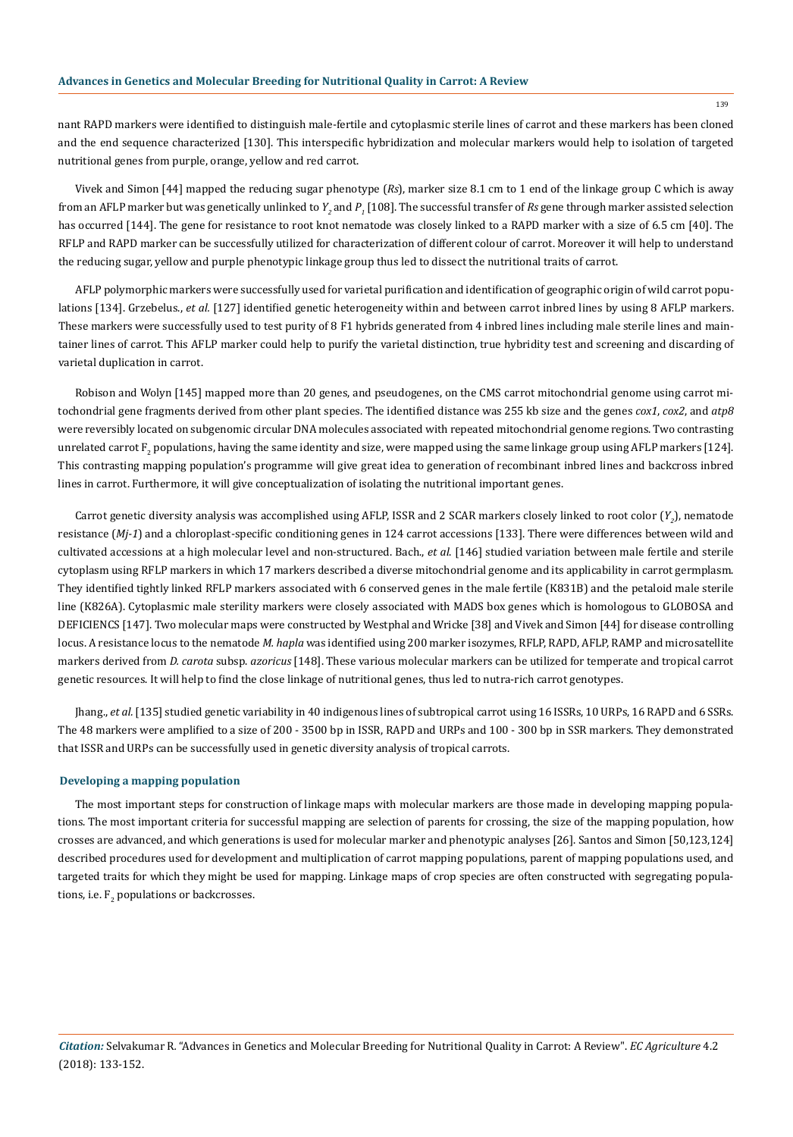nant RAPD markers were identified to distinguish male-fertile and cytoplasmic sterile lines of carrot and these markers has been cloned and the end sequence characterized [130]. This interspecific hybridization and molecular markers would help to isolation of targeted nutritional genes from purple, orange, yellow and red carrot.

Vivek and Simon [44] mapped the reducing sugar phenotype (*Rs*), marker size 8.1 cm to 1 end of the linkage group C which is away from an AFLP marker but was genetically unlinked to  $Y_{_2}$  and  $P_{_1}$  [108]. The successful transfer of  $R$ s gene through marker assisted selection has occurred [144]. The gene for resistance to root knot nematode was closely linked to a RAPD marker with a size of 6.5 cm [40]. The RFLP and RAPD marker can be successfully utilized for characterization of different colour of carrot. Moreover it will help to understand the reducing sugar, yellow and purple phenotypic linkage group thus led to dissect the nutritional traits of carrot.

AFLP polymorphic markers were successfully used for varietal purification and identification of geographic origin of wild carrot populations [134]. Grzebelus., *et al.* [127] identified genetic heterogeneity within and between carrot inbred lines by using 8 AFLP markers. These markers were successfully used to test purity of 8 F1 hybrids generated from 4 inbred lines including male sterile lines and maintainer lines of carrot. This AFLP marker could help to purify the varietal distinction, true hybridity test and screening and discarding of varietal duplication in carrot.

Robison and Wolyn [145] mapped more than 20 genes, and pseudogenes, on the CMS carrot mitochondrial genome using carrot mitochondrial gene fragments derived from other plant species. The identified distance was 255 kb size and the genes *cox1*, *cox2*, and *atp8* were reversibly located on subgenomic circular DNA molecules associated with repeated mitochondrial genome regions. Two contrasting unrelated carrot  $\bm{{\mathsf{F}}}_2$  populations, having the same identity and size, were mapped using the same linkage group using AFLP markers [124]. This contrasting mapping population's programme will give great idea to generation of recombinant inbred lines and backcross inbred lines in carrot. Furthermore, it will give conceptualization of isolating the nutritional important genes.

Carrot genetic diversity analysis was accomplished using AFLP, ISSR and 2 SCAR markers closely linked to root color (Y<sub>2</sub>), nematode resistance (*Mj-1*) and a chloroplast-specific conditioning genes in 124 carrot accessions [133]. There were differences between wild and cultivated accessions at a high molecular level and non-structured. Bach., *et al*. [146] studied variation between male fertile and sterile cytoplasm using RFLP markers in which 17 markers described a diverse mitochondrial genome and its applicability in carrot germplasm. They identified tightly linked RFLP markers associated with 6 conserved genes in the male fertile (K831B) and the petaloid male sterile line (K826A). Cytoplasmic male sterility markers were closely associated with MADS box genes which is homologous to GLOBOSA and DEFICIENCS [147]. Two molecular maps were constructed by Westphal and Wricke [38] and Vivek and Simon [44] for disease controlling locus. A resistance locus to the nematode *M. hapla* was identified using 200 marker isozymes, RFLP, RAPD, AFLP, RAMP and microsatellite markers derived from *D. carota* subsp. *azoricus* [148]. These various molecular markers can be utilized for temperate and tropical carrot genetic resources. It will help to find the close linkage of nutritional genes, thus led to nutra-rich carrot genotypes.

Jhang., *et al.* [135] studied genetic variability in 40 indigenous lines of subtropical carrot using 16 ISSRs, 10 URPs, 16 RAPD and 6 SSRs. The 48 markers were amplified to a size of 200 - 3500 bp in ISSR, RAPD and URPs and 100 - 300 bp in SSR markers. They demonstrated that ISSR and URPs can be successfully used in genetic diversity analysis of tropical carrots.

# **Developing a mapping population**

The most important steps for construction of linkage maps with molecular markers are those made in developing mapping populations. The most important criteria for successful mapping are selection of parents for crossing, the size of the mapping population, how crosses are advanced, and which generations is used for molecular marker and phenotypic analyses [26]. Santos and Simon [50,123,124] described procedures used for development and multiplication of carrot mapping populations, parent of mapping populations used, and targeted traits for which they might be used for mapping. Linkage maps of crop species are often constructed with segregating populations, i.e.  $F_2$  populations or backcrosses.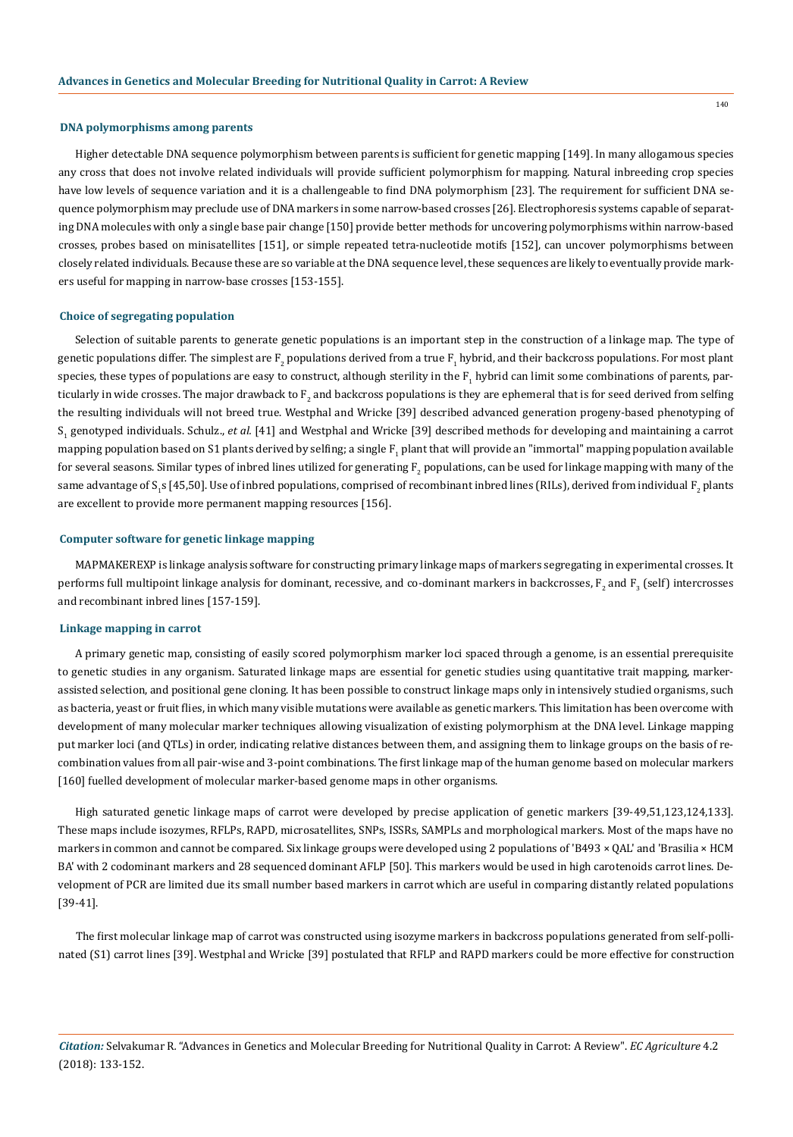#### **DNA polymorphisms among parents**

Higher detectable DNA sequence polymorphism between parents is sufficient for genetic mapping [149]. In many allogamous species any cross that does not involve related individuals will provide sufficient polymorphism for mapping. Natural inbreeding crop species have low levels of sequence variation and it is a challengeable to find DNA polymorphism [23]. The requirement for sufficient DNA sequence polymorphism may preclude use of DNA markers in some narrow-based crosses [26]. Electrophoresis systems capable of separating DNA molecules with only a single base pair change [150] provide better methods for uncovering polymorphisms within narrow-based crosses, probes based on minisatellites [151], or simple repeated tetra-nucleotide motifs [152], can uncover polymorphisms between closely related individuals. Because these are so variable at the DNA sequence level, these sequences are likely to eventually provide markers useful for mapping in narrow-base crosses [153-155].

# **Choice of segregating population**

Selection of suitable parents to generate genetic populations is an important step in the construction of a linkage map. The type of genetic populations differ. The simplest are  $\mathrm{F}_2$  populations derived from a true  $\mathrm{F}_1$  hybrid, and their backcross populations. For most plant species, these types of populations are easy to construct, although sterility in the  $\mathrm{F}_1$  hybrid can limit some combinations of parents, particularly in wide crosses. The major drawback to  $\mathrm{F}_2$  and backcross populations is they are ephemeral that is for seed derived from selfing the resulting individuals will not breed true. Westphal and Wricke [39] described advanced generation progeny-based phenotyping of S1 genotyped individuals. Schulz., *et al.* [41] and Westphal and Wricke [39] described methods for developing and maintaining a carrot mapping population based on S1 plants derived by selfing; a single  $\boldsymbol{{\rm F}_1}$  plant that will provide an "immortal" mapping population available for several seasons. Similar types of inbred lines utilized for generating  $\mathrm{F}_2$  populations, can be used for linkage mapping with many of the same advantage of S<sub>1</sub>s [45,50]. Use of inbred populations, comprised of recombinant inbred lines [RILs], derived from individual F<sub>2</sub> plants are excellent to provide more permanent mapping resources [156].

# **Computer software for genetic linkage mapping**

MAPMAKEREXP is linkage analysis software for constructing primary linkage maps of markers segregating in experimental crosses. It performs full multipoint linkage analysis for dominant, recessive, and co-dominant markers in backcrosses,  $\bm{{\rm F}_2}$  and  $\bm{{\rm F}_3}$  (self) intercrosses and recombinant inbred lines [157-159].

## **Linkage mapping in carrot**

A primary genetic map, consisting of easily scored polymorphism marker loci spaced through a genome, is an essential prerequisite to genetic studies in any organism. Saturated linkage maps are essential for genetic studies using quantitative trait mapping, markerassisted selection, and positional gene cloning. It has been possible to construct linkage maps only in intensively studied organisms, such as bacteria, yeast or fruit flies, in which many visible mutations were available as genetic markers. This limitation has been overcome with development of many molecular marker techniques allowing visualization of existing polymorphism at the DNA level. Linkage mapping put marker loci (and QTLs) in order, indicating relative distances between them, and assigning them to linkage groups on the basis of recombination values from all pair-wise and 3-point combinations. The first linkage map of the human genome based on molecular markers [160] fuelled development of molecular marker-based genome maps in other organisms.

High saturated genetic linkage maps of carrot were developed by precise application of genetic markers [39-49,51,123,124,133]. These maps include isozymes, RFLPs, RAPD, microsatellites, SNPs, ISSRs, SAMPLs and morphological markers. Most of the maps have no markers in common and cannot be compared. Six linkage groups were developed using 2 populations of 'B493 × QAL' and 'Brasilia × HCM BA' with 2 codominant markers and 28 sequenced dominant AFLP [50]. This markers would be used in high carotenoids carrot lines. Development of PCR are limited due its small number based markers in carrot which are useful in comparing distantly related populations [39-41].

The first molecular linkage map of carrot was constructed using isozyme markers in backcross populations generated from self-pollinated (S1) carrot lines [39]. Westphal and Wricke [39] postulated that RFLP and RAPD markers could be more effective for construction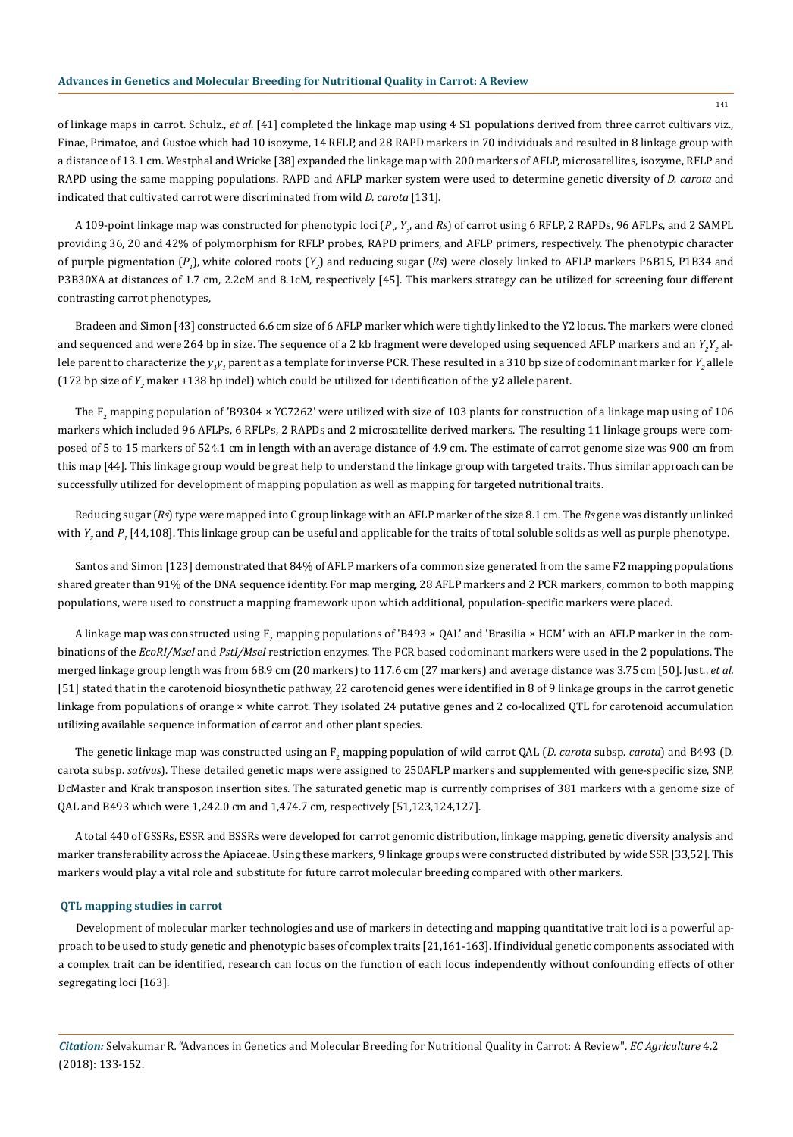of linkage maps in carrot. Schulz., *et al*. [41] completed the linkage map using 4 S1 populations derived from three carrot cultivars viz., Finae, Primatoe, and Gustoe which had 10 isozyme, 14 RFLP, and 28 RAPD markers in 70 individuals and resulted in 8 linkage group with a distance of 13.1 cm. Westphal and Wricke [38] expanded the linkage map with 200 markers of AFLP, microsatellites, isozyme, RFLP and RAPD using the same mapping populations. RAPD and AFLP marker system were used to determine genetic diversity of *D. carota* and indicated that cultivated carrot were discriminated from wild *D. carota* [131].

A 109-point linkage map was constructed for phenotypic loci (P<sub>1</sub>, Y<sub>2</sub>, and Rs) of carrot using 6 RFLP, 2 RAPDs, 96 AFLPs, and 2 SAMPL providing 36, 20 and 42% of polymorphism for RFLP probes, RAPD primers, and AFLP primers, respectively. The phenotypic character of purple pigmentation (P<sub>1</sub>), white colored roots (Y<sub>2</sub>) and reducing sugar (Rs) were closely linked to AFLP markers P6B15, P1B34 and P3B30XA at distances of 1.7 cm, 2.2cM and 8.1cM, respectively [45]. This markers strategy can be utilized for screening four different contrasting carrot phenotypes,

Bradeen and Simon [43] constructed 6.6 cm size of 6 AFLP marker which were tightly linked to the Y2 locus. The markers were cloned and sequenced and were 264 bp in size. The sequence of a 2 kb fragment were developed using sequenced AFLP markers and an  $Y_{_2}Y_{_2}$  allele parent to characterize the  $y_{_I\!I}$  parent as a template for inverse PCR. These resulted in a 310 bp size of codominant marker for  $Y_{_2}$  allele (172 bp size of  $Y_2$  maker +138 bp indel) which could be utilized for identification of the  $y2$  allele parent.

The  $\rm F_2$  mapping population of 'B9304 × YC7262' were utilized with size of 103 plants for construction of a linkage map using of 106 markers which included 96 AFLPs, 6 RFLPs, 2 RAPDs and 2 microsatellite derived markers. The resulting 11 linkage groups were composed of 5 to 15 markers of 524.1 cm in length with an average distance of 4.9 cm. The estimate of carrot genome size was 900 cm from this map [44]. This linkage group would be great help to understand the linkage group with targeted traits. Thus similar approach can be successfully utilized for development of mapping population as well as mapping for targeted nutritional traits.

Reducing sugar (*Rs*) type were mapped into C group linkage with an AFLP marker of the size 8.1 cm. The *Rs* gene was distantly unlinked with  $Y_{_2}$  and  $P_{_1}$  [44,108]. This linkage group can be useful and applicable for the traits of total soluble solids as well as purple phenotype.

Santos and Simon [123] demonstrated that 84% of AFLP markers of a common size generated from the same F2 mapping populations shared greater than 91% of the DNA sequence identity. For map merging, 28 AFLP markers and 2 PCR markers, common to both mapping populations, were used to construct a mapping framework upon which additional, population-specific markers were placed.

A linkage map was constructed using  $\text{F}_2$  mapping populations of 'B493 × QAL' and 'Brasilia × HCM' with an AFLP marker in the combinations of the *EcoRI/MseI* and *PstI/MseI* restriction enzymes. The PCR based codominant markers were used in the 2 populations. The merged linkage group length was from 68.9 cm (20 markers) to 117.6 cm (27 markers) and average distance was 3.75 cm [50]. Just., *et al.*  [51] stated that in the carotenoid biosynthetic pathway, 22 carotenoid genes were identified in 8 of 9 linkage groups in the carrot genetic linkage from populations of orange × white carrot. They isolated 24 putative genes and 2 co-localized QTL for carotenoid accumulation utilizing available sequence information of carrot and other plant species.

The genetic linkage map was constructed using an  $F_2$  mapping population of wild carrot QAL (*D. carota* subsp. *carota*) and B493 (D. carota subsp. *sativus*). These detailed genetic maps were assigned to 250AFLP markers and supplemented with gene-specific size, SNP, DcMaster and Krak transposon insertion sites. The saturated genetic map is currently comprises of 381 markers with a genome size of QAL and B493 which were 1,242.0 cm and 1,474.7 cm, respectively [51,123,124,127].

A total 440 of GSSRs, ESSR and BSSRs were developed for carrot genomic distribution, linkage mapping, genetic diversity analysis and marker transferability across the Apiaceae. Using these markers, 9 linkage groups were constructed distributed by wide SSR [33,52]. This markers would play a vital role and substitute for future carrot molecular breeding compared with other markers.

### **QTL mapping studies in carrot**

Development of molecular marker technologies and use of markers in detecting and mapping quantitative trait loci is a powerful approach to be used to study genetic and phenotypic bases of complex traits [21,161-163]. If individual genetic components associated with a complex trait can be identified, research can focus on the function of each locus independently without confounding effects of other segregating loci [163].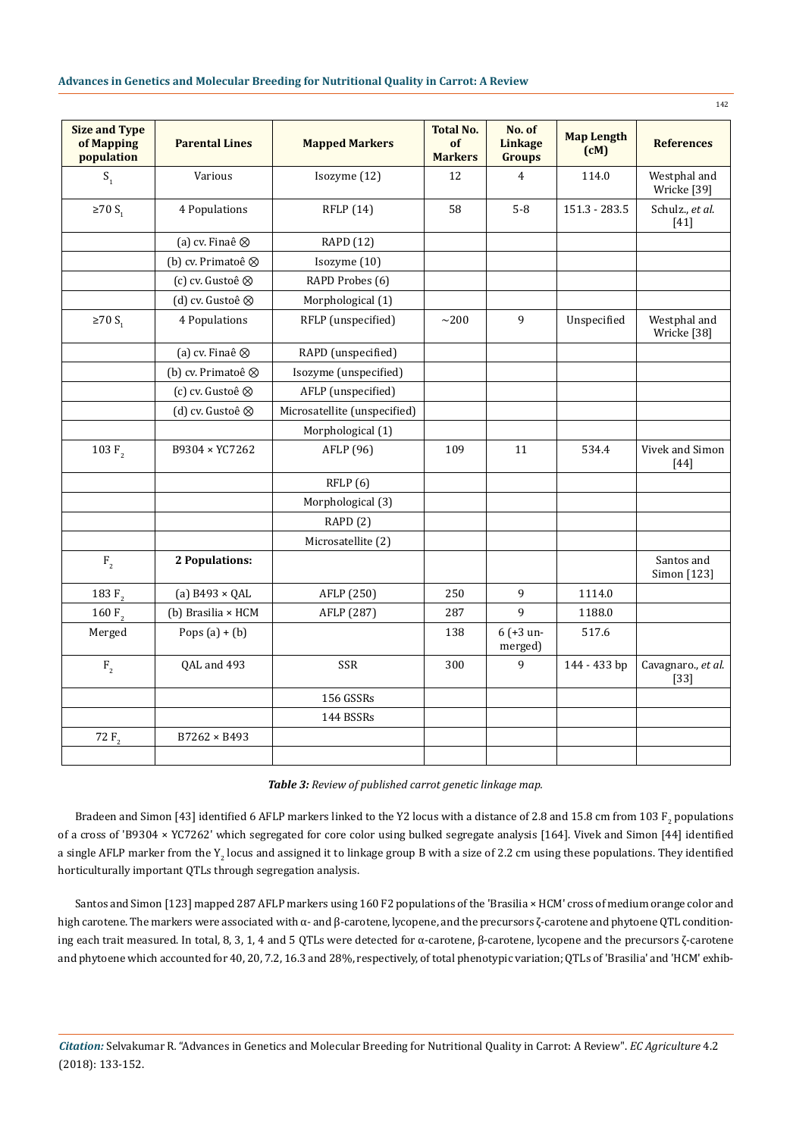| <b>Size and Type</b><br>of Mapping<br>population | <b>Parental Lines</b>   | <b>Mapped Markers</b>        | <b>Total No.</b><br><b>of</b><br><b>Markers</b> | No. of<br><b>Linkage</b><br><b>Groups</b> | <b>Map Length</b><br>(cM) | <b>References</b>            |
|--------------------------------------------------|-------------------------|------------------------------|-------------------------------------------------|-------------------------------------------|---------------------------|------------------------------|
| S <sub>1</sub>                                   | Various                 | Isozyme (12)                 | 12                                              | $\overline{4}$                            | 114.0                     | Westphal and<br>Wricke [39]  |
| $\geq 70$ S <sub>1</sub>                         | 4 Populations           | RFLP (14)                    | 58                                              | $5 - 8$                                   | 151.3 - 283.5             | Schulz., et al.<br>$[41]$    |
|                                                  | (a) cv. Finaê $\otimes$ | RAPD (12)                    |                                                 |                                           |                           |                              |
|                                                  | (b) cv. Primatoê ⊗      | Isozyme (10)                 |                                                 |                                           |                           |                              |
|                                                  | (c) cv. Gustoê ⊗        | RAPD Probes (6)              |                                                 |                                           |                           |                              |
|                                                  | (d) cv. Gustoê ⊗        | Morphological (1)            |                                                 |                                           |                           |                              |
| $\geq 70$ S <sub>1</sub>                         | 4 Populations           | RFLP (unspecified)           | $\sim$ 200                                      | 9                                         | Unspecified               | Westphal and<br>Wricke [38]  |
|                                                  | (a) cv. Finaê $\otimes$ | RAPD (unspecified)           |                                                 |                                           |                           |                              |
|                                                  | (b) cv. Primatoê ⊗      | Isozyme (unspecified)        |                                                 |                                           |                           |                              |
|                                                  | (c) cv. Gustoê ⊗        | AFLP (unspecified)           |                                                 |                                           |                           |                              |
|                                                  | (d) cv. Gustoê ⊗        | Microsatellite (unspecified) |                                                 |                                           |                           |                              |
|                                                  |                         | Morphological (1)            |                                                 |                                           |                           |                              |
| 103 $F2$                                         | B9304 × YC7262          | AFLP (96)                    | 109                                             | 11                                        | 534.4                     | Vivek and Simon<br>$[44]$    |
|                                                  |                         | RFLP(6)                      |                                                 |                                           |                           |                              |
|                                                  |                         | Morphological (3)            |                                                 |                                           |                           |                              |
|                                                  |                         | RAPD(2)                      |                                                 |                                           |                           |                              |
|                                                  |                         | Microsatellite (2)           |                                                 |                                           |                           |                              |
| F <sub>2</sub>                                   | 2 Populations:          |                              |                                                 |                                           |                           | Santos and<br>Simon [123]    |
| 183 $F2$                                         | (a) $B493 \times QAL$   | AFLP (250)                   | 250                                             | 9                                         | 1114.0                    |                              |
| 160 $F2$                                         | (b) Brasilia × HCM      | AFLP (287)                   | 287                                             | 9                                         | 1188.0                    |                              |
| Merged                                           | Pops $(a) + (b)$        |                              | 138                                             | $6 (+3 un-$<br>merged)                    | 517.6                     |                              |
| F <sub>2</sub>                                   | QAL and 493             | SSR                          | 300                                             | 9                                         | 144 - 433 bp              | Cavagnaro., et al.<br>$[33]$ |
|                                                  |                         | 156 GSSRs                    |                                                 |                                           |                           |                              |
|                                                  |                         | 144 BSSRs                    |                                                 |                                           |                           |                              |
| 72 $F_{2}$                                       | $B7262 \times B493$     |                              |                                                 |                                           |                           |                              |
|                                                  |                         |                              |                                                 |                                           |                           |                              |

Bradeen and Simon [43] identified 6 AFLP markers linked to the Y2 locus with a distance of 2.8 and 15.8 cm from 103  $\rm F_2$  populations of a cross of 'B9304 × YC7262' which segregated for core color using bulked segregate analysis [164]. Vivek and Simon [44] identified a single AFLP marker from the Y<sub>2</sub> locus and assigned it to linkage group B with a size of 2.2 cm using these populations. They identified horticulturally important QTLs through segregation analysis.

Santos and Simon [123] mapped 287 AFLP markers using 160 F2 populations of the 'Brasilia × HCM' cross of medium orange color and high carotene. The markers were associated with α- and β-carotene, lycopene, and the precursors ζ-carotene and phytoene QTL conditioning each trait measured. In total, 8, 3, 1, 4 and 5 QTLs were detected for α-carotene, β-carotene, lycopene and the precursors ζ-carotene and phytoene which accounted for 40, 20, 7.2, 16.3 and 28%, respectively, of total phenotypic variation; QTLs of 'Brasilia' and 'HCM' exhib-

*Citation:* Selvakumar R*.* "Advances in Genetics and Molecular Breeding for Nutritional Quality in Carrot: A Review". *EC Agriculture* 4.2 (2018): 133-152.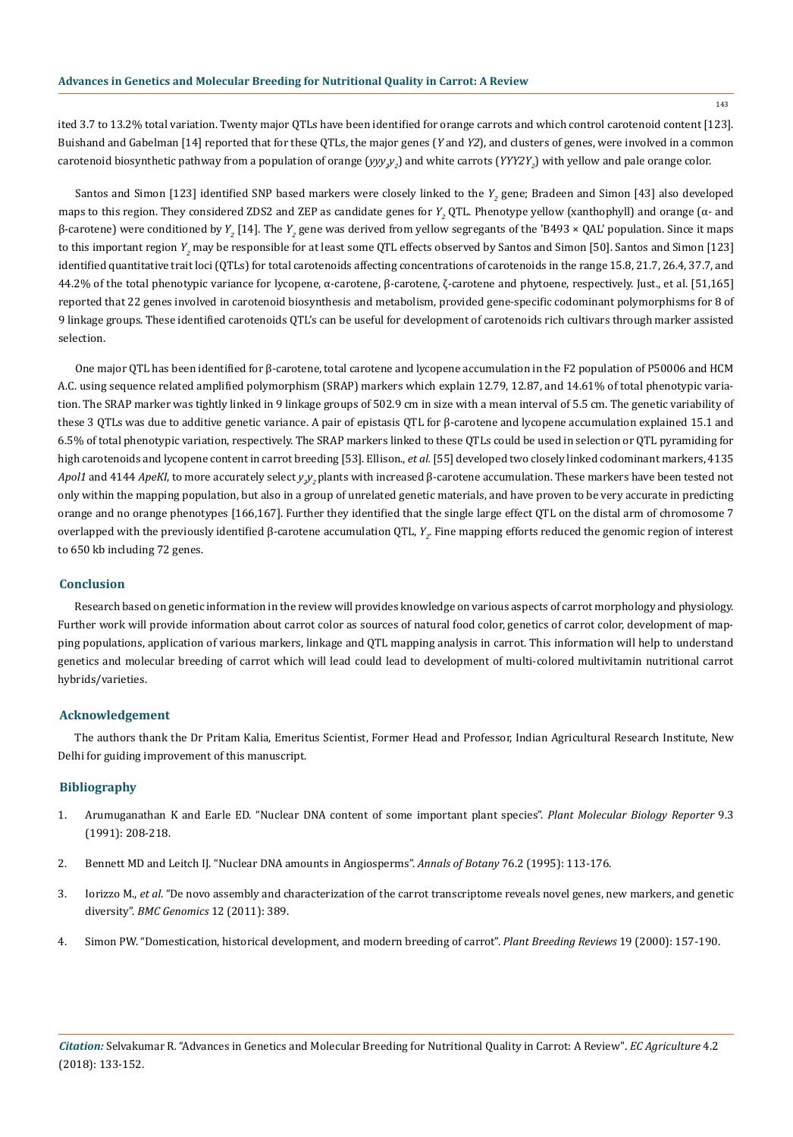ited 3.7 to 13.2% total variation. Twenty major QTLs have been identified for orange carrots and which control carotenoid content [123]. Buishand and Gabelman [14] reported that for these QTLs, the major genes (*Y* and *Y2*), and clusters of genes, were involved in a common carotenoid biosynthetic pathway from a population of orange (*yyy<sub>2</sub>y*<sub>2</sub>) and white carrots (*YYY2Y<sub>2</sub>*) with yellow and pale orange color.

Santos and Simon [123] identified SNP based markers were closely linked to the  $Y_{_2}$  gene; Bradeen and Simon [43] also developed maps to this region. They considered ZDS2 and ZEP as candidate genes for *Y<sub>2</sub>* QTL. Phenotype yellow (xanthophyll) and orange (α- and β-carotene) were conditioned by *Y<sub>2</sub>* [14]. The *Y<sub>2</sub>* gene was derived from yellow segregants of the 'B493 × QAL' population. Since it maps to this important region  $Y_{_2}$  may be responsible for at least some QTL effects observed by Santos and Simon [50]. Santos and Simon [123] identified quantitative trait loci (QTLs) for total carotenoids affecting concentrations of carotenoids in the range 15.8, 21.7, 26.4, 37.7, and 44.2% of the total phenotypic variance for lycopene, α-carotene, β-carotene, ζ-carotene and phytoene, respectively. Just., et al. [51,165] reported that 22 genes involved in carotenoid biosynthesis and metabolism, provided gene-specific codominant polymorphisms for 8 of 9 linkage groups. These identified carotenoids QTL's can be useful for development of carotenoids rich cultivars through marker assisted selection.

One major QTL has been identified for β-carotene, total carotene and lycopene accumulation in the F2 population of P50006 and HCM A.C. using sequence related amplified polymorphism (SRAP) markers which explain 12.79, 12.87, and 14.61% of total phenotypic variation. The SRAP marker was tightly linked in 9 linkage groups of 502.9 cm in size with a mean interval of 5.5 cm. The genetic variability of these 3 QTLs was due to additive genetic variance. A pair of epistasis QTL for β-carotene and lycopene accumulation explained 15.1 and 6.5% of total phenotypic variation, respectively. The SRAP markers linked to these QTLs could be used in selection or QTL pyramiding for high carotenoids and lycopene content in carrot breeding [53]. Ellison., *et al.* [55] developed two closely linked codominant markers, 4135 *Apol1* and 4144 *ApeKI*, to more accurately select  $y_jy_j$  plants with increased β-carotene accumulation. These markers have been tested not only within the mapping population, but also in a group of unrelated genetic materials, and have proven to be very accurate in predicting orange and no orange phenotypes [166,167]. Further they identified that the single large effect QTL on the distal arm of chromosome 7 overlapped with the previously identified β-carotene accumulation QTL, *Y<sub>2</sub>*. Fine mapping efforts reduced the genomic region of interest to 650 kb including 72 genes.

# **Conclusion**

Research based on genetic information in the review will provides knowledge on various aspects of carrot morphology and physiology. Further work will provide information about carrot color as sources of natural food color, genetics of carrot color, development of mapping populations, application of various markers, linkage and QTL mapping analysis in carrot. This information will help to understand genetics and molecular breeding of carrot which will lead could lead to development of multi-colored multivitamin nutritional carrot hybrids/varieties.

# **Acknowledgement**

The authors thank the Dr Pritam Kalia, Emeritus Scientist, Former Head and Professor, Indian Agricultural Research Institute, New Delhi for guiding improvement of this manuscript.

# **Bibliography**

- 1. [Arumuganathan K and Earle ED. "Nuclear DNA content of some important plant species".](https://link.springer.com/article/10.1007/BF02672069) *Plant Molecular Biology Reporter* 9.3 [\(1991\): 208-218.](https://link.springer.com/article/10.1007/BF02672069)
- 2. [Bennett MD and Leitch IJ. "Nuclear DNA amounts in Angiosperms".](https://academic.oup.com/aob/article-abstract/76/2/113/196630) *Annals of Botany* 76.2 (1995): 113-176.
- 3. Iorizzo M., *et al*[. "De novo assembly and characterization of the carrot transcriptome reveals novel genes, new markers, and genetic](https://www.ncbi.nlm.nih.gov/pubmed/21810238) diversity". *BMC Genomics* [12 \(2011\): 389.](https://www.ncbi.nlm.nih.gov/pubmed/21810238)
- 4. [Simon PW. "Domestication, historical development, and modern breeding of carrot".](https://onlinelibrary.wiley.com/doi/abs/10.1002/9780470650172.ch5) *Plant Breeding Reviews* 19 (2000): 157-190.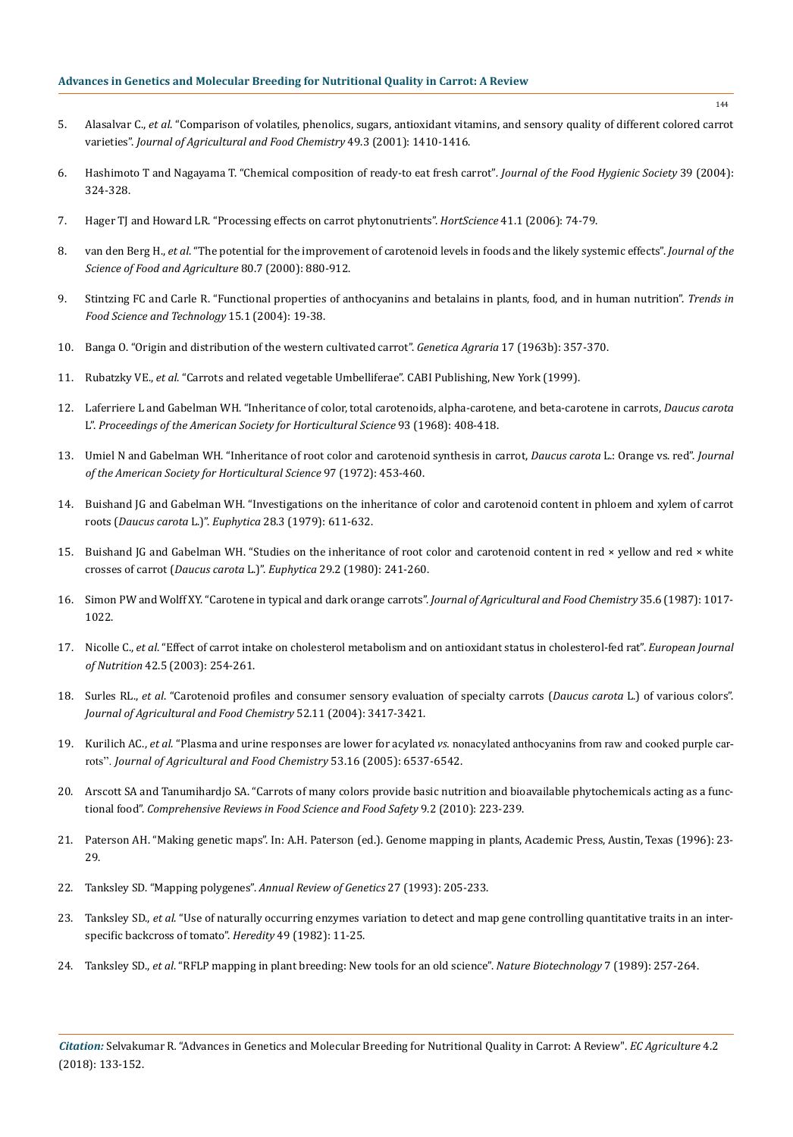- 5. Alasalvar C., *et al*[. "Comparison of volatiles, phenolics, sugars, antioxidant vitamins, and sensory quality of different colored carrot](https://www.ncbi.nlm.nih.gov/pubmed/11312873)  varieties". *[Journal of Agricultural and Food Chemistry](https://www.ncbi.nlm.nih.gov/pubmed/11312873)* 49.3 (2001): 1410-1416.
- 6. Hashimoto T and Nagayama T. "Chemical composition of ready-to eat fresh carrot"*. Journal of the Food Hygienic Society* 39 (2004): 324-328.
- 7. [Hager TJ and Howard LR. "Processing effects on carrot phytonutrients".](http://hortsci.ashspublications.org/content/41/1/74.full.pdf) *HortScience* 41.1 (2006): 74-79.
- 8. van den Berg H., *et al*[. "The potential for the improvement of carotenoid levels in foods and the likely systemic effects".](https://onlinelibrary.wiley.com/doi/abs/10.1002/(SICI)1097-0010(20000515)80:7%3C880::AID-JSFA646%3E3.0.CO%3B2-1) *Journal of the [Science of Food and Agriculture](https://onlinelibrary.wiley.com/doi/abs/10.1002/(SICI)1097-0010(20000515)80:7%3C880::AID-JSFA646%3E3.0.CO%3B2-1)* 80.7 (2000): 880-912.
- 9. [Stintzing FC and Carle R. "Functional properties of anthocyanins and betalains in plants, food, and in human nutrition".](https://www.sciencedirect.com/science/article/abs/pii/S0924224403001638) *Trends in [Food Science and Technology](https://www.sciencedirect.com/science/article/abs/pii/S0924224403001638)* 15.1 (2004): 19-38.
- 10. [Banga O. "Origin and distribution of the western cultivated carrot".](https://library.wur.nl/WebQuery/titel/1923444) *Genetica Agraria* 17 (1963b): 357-370.
- 11. Rubatzky VE., *et al*[. "Carrots and related vegetable Umbelliferae". CABI Publishing, New York \(1999\).](https://www.cabi.org/bookshop/book/9780851991290)
- 12. Laferriere L and Gabelman WH. "Inheritance of color, total carotenoids, alpha-carotene, and beta-carotene in carrots, *Daucus carota*  L". *Proceedings of the American Society for Horticultural Science* 93 (1968): 408-418.
- 13. Umiel N and Gabelman WH. "Inheritance of root color and carotenoid synthesis in carrot, *Daucus carota* L.: Orange vs. red". *Journal of the American Society for Horticultural Science* 97 (1972): 453-460.
- 14. [Buishand JG and Gabelman WH. "Investigations on the inheritance of color and carotenoid content in phloem and xylem of carrot](https://link.springer.com/article/10.1007/BF00038928)  roots (*Daucus carota* L.)". *Euphytica* [28.3 \(1979\): 611-632.](https://link.springer.com/article/10.1007/BF00038928)
- 15. Buishand JG and Gabelman WH. "Studies on the inheritance of root color and carotenoid content in red × yellow and red × white crosses of carrot (*Daucus carota* L.)". *Euphytica* [29.2 \(1980\): 241-260.](https://link.springer.com/article/10.1007/BF00025121)
- 16. [Simon PW and Wolff XY. "Carotene in typical and dark orange carrots".](https://www.researchgate.net/publication/231546459_Carotene_in_typical_and_dark_orange_carrots) *Journal of Agricultural and Food Chemistry* 35.6 (1987): 1017- [1022.](https://www.researchgate.net/publication/231546459_Carotene_in_typical_and_dark_orange_carrots)
- 17. Nicolle C., *et al*[. "Effect of carrot intake on cholesterol metabolism and on antioxidant status in cholesterol-fed rat".](https://www.ncbi.nlm.nih.gov/pubmed/14569406) *European Journal of Nutrition* [42.5 \(2003\): 254-261.](https://www.ncbi.nlm.nih.gov/pubmed/14569406)
- 18. Surles RL., *et al*[. "Carotenoid profiles and consumer sensory evaluation of specialty carrots \(](https://www.ncbi.nlm.nih.gov/pubmed/15161208)*Daucus carota* L.) of various colors". *[Journal of Agricultural and Food Chemistry](https://www.ncbi.nlm.nih.gov/pubmed/15161208)* 52.11 (2004): 3417-3421.
- 19. Kurilich AC., *et al*. "Plasma and urine responses are lower for acylated *vs.* [nonacylated anthocyanins from raw and cooked purple car](https://www.ncbi.nlm.nih.gov/pubmed/16076146)rots". *[Journal of Agricultural and Food Chemistry](https://www.ncbi.nlm.nih.gov/pubmed/16076146)* 53.16 (2005): 6537-6542.
- 20. [Arscott SA and Tanumihardjo SA. "Carrots of many colors provide basic nutrition and bioavailable phytochemicals acting as a func](https://onlinelibrary.wiley.com/doi/full/10.1111/j.1541-4337.2009.00103.x)tional food". *[Comprehensive Reviews in Food Science and Food Safety](https://onlinelibrary.wiley.com/doi/full/10.1111/j.1541-4337.2009.00103.x)* 9.2 (2010): 223-239.
- 21. Paterson AH. "Making genetic maps". In: A.H. Paterson (ed.). Genome mapping in plants, Academic Press, Austin, Texas (1996): 23- 29.
- 22. [Tanksley SD. "Mapping polygenes".](https://www.ncbi.nlm.nih.gov/pubmed/8122902) *Annual Review of Genetics* 27 (1993): 205-233.
- 23. Tanksley SD., *et al*[. "Use of naturally occurring enzymes variation to detect and map gene controlling quantitative traits in an inter](https://www.nature.com/articles/hdy198261)[specific backcross of tomato".](https://www.nature.com/articles/hdy198261) *Heredity* 49 (1982): 11-25.
- 24. Tanksley SD., *et al*[. "RFLP mapping in plant breeding: New tools for an old science".](https://www.nature.com/articles/nbt0389-257) *Nature Biotechnology* 7 (1989): 257-264.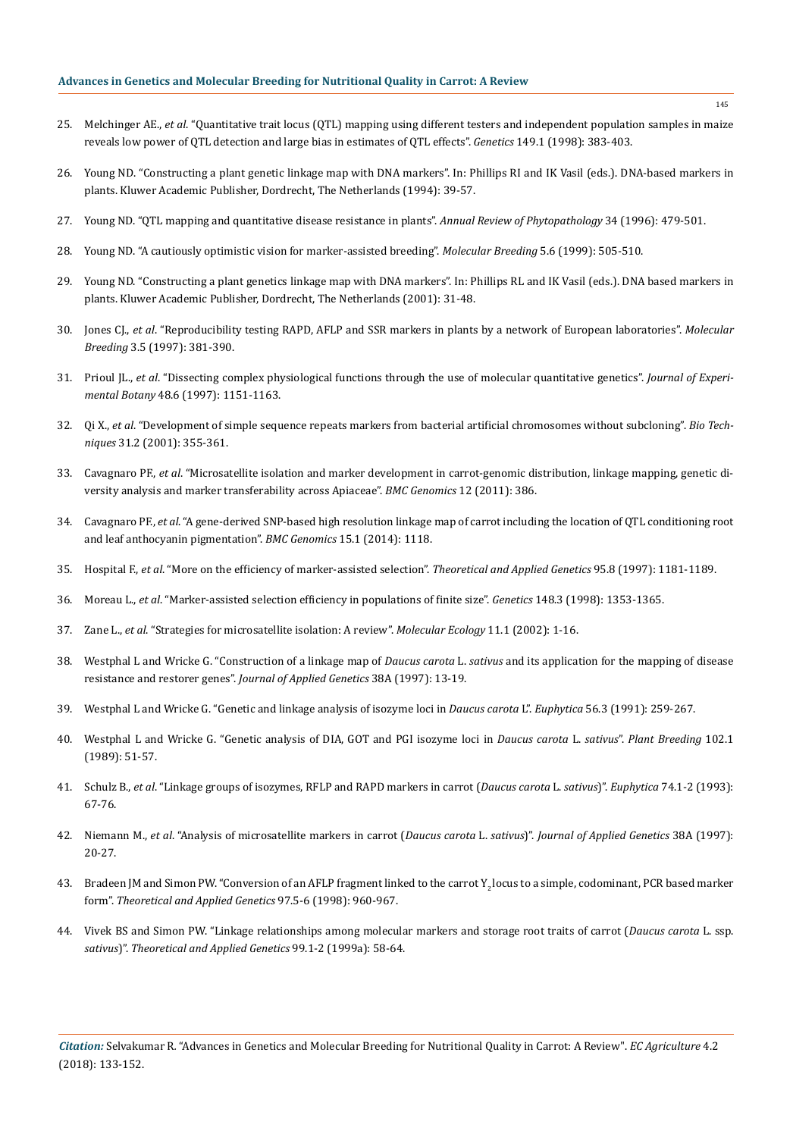- 25. Melchinger AE., *et al*[. "Quantitative trait locus \(QTL\) mapping using different testers and independent population samples in maize](https://www.ncbi.nlm.nih.gov/pubmed/9584111)  [reveals low power of QTL detection and large bias in estimates of QTL effects".](https://www.ncbi.nlm.nih.gov/pubmed/9584111) *Genetics* 149.1 (1998): 383-403.
- 26. [Young ND. "Constructing a plant genetic linkage map with DNA markers". In: Phillips RI and IK Vasil \(eds.\). DNA-based markers in](https://link.springer.com/chapter/10.1007/978-94-011-1104-1_3)  [plants. Kluwer Academic Publisher, Dordrecht, The Netherlands \(1994\): 39-57.](https://link.springer.com/chapter/10.1007/978-94-011-1104-1_3)
- 27. [Young ND. "QTL mapping and quantitative disease resistance in plants".](https://www.ncbi.nlm.nih.gov/pubmed/15012553) *Annual Review of Phytopathology* 34 (1996): 479-501.
- 28. [Young ND. "A cautiously optimistic vision for marker-assisted breeding".](https://link.springer.com/article/10.1023/A:1009684409326) *Molecular Breeding* 5.6 (1999): 505-510.
- 29. [Young ND. "Constructing a plant genetics linkage map with DNA markers". In: Phillips RL and IK Vasil \(eds.\). DNA based markers in](https://link.springer.com/chapter/10.1007/978-94-015-9815-6_3)  [plants. Kluwer Academic Publisher, Dordrecht, The Netherlands \(2001\): 31-48.](https://link.springer.com/chapter/10.1007/978-94-015-9815-6_3)
- 30. Jones CJ., *et al*[. "Reproducibility testing RAPD, AFLP and SSR markers in plants by a network of European laboratories".](https://link.springer.com/article/10.1023/A:1009612517139) *Molecular Breeding* [3.5 \(1997\): 381-390.](https://link.springer.com/article/10.1023/A:1009612517139)
- 31. Prioul JL., *et al*[. "Dissecting complex physiological functions through the use of molecular quantitative genetics".](https://academic.oup.com/jxb/article/48/6/1151/654694) *Journal of Experimental Botany* [48.6 \(1997\): 1151-1163.](https://academic.oup.com/jxb/article/48/6/1151/654694)
- 32. Qi X., *et al*[. "Development of simple sequence repeats markers from bacterial artificial chromosomes without subcloning".](https://www.ncbi.nlm.nih.gov/pubmed/11515373) *Bio Techniques* [31.2 \(2001\): 355-361.](https://www.ncbi.nlm.nih.gov/pubmed/11515373)
- 33. Cavagnaro PF., *et al*[. "Microsatellite isolation and marker development in carrot-genomic distribution, linkage mapping, genetic di](https://bmcgenomics.biomedcentral.com/articles/10.1186/1471-2164-12-386)[versity analysis and marker transferability across Apiaceae".](https://bmcgenomics.biomedcentral.com/articles/10.1186/1471-2164-12-386) *BMC Genomics* 12 (2011): 386.
- 34. Cavagnaro PF., *et al*[. "A gene-derived SNP-based high resolution linkage map of carrot including the location of QTL conditioning root](https://www.ncbi.nlm.nih.gov/pmc/articles/PMC4378384/)  [and leaf anthocyanin pigmentation".](https://www.ncbi.nlm.nih.gov/pmc/articles/PMC4378384/) *BMC Genomics* 15.1 (2014): 1118.
- 35. Hospital F., *et al*[. "More on the efficiency of marker-assisted selection".](https://link.springer.com/article/10.1007/s001220050679) *Theoretical and Applied Genetics* 95.8 (1997): 1181-1189.
- 36. Moreau L., *et al*[. "Marker-assisted selection efficiency in populations of finite size".](https://www.ncbi.nlm.nih.gov/pubmed/9539448) *Genetics* 148.3 (1998): 1353-1365.
- 37. Zane L., *et al*[. "Strategies for microsatellite isolation: A review".](https://www.ncbi.nlm.nih.gov/pubmed/11903900) *Molecular Ecology* 11.1 (2002): 1-16.
- 38. [Westphal L and Wricke G. "Construction of a linkage map of](https://www.researchgate.net/publication/288763943_Construction_of_a_linkage_map_of_Daucus_carota_L_sativus_and_its_application_for_the_mapping_of_disease_resistance_and_restorer_genes) *Daucus carota* L. *sativus* and its application for the mapping of disease [resistance and restorer genes".](https://www.researchgate.net/publication/288763943_Construction_of_a_linkage_map_of_Daucus_carota_L_sativus_and_its_application_for_the_mapping_of_disease_resistance_and_restorer_genes) *Journal of Applied Genetics* 38A (1997): 13-19.
- 39. [Westphal L and Wricke G. "Genetic and linkage analysis of isozyme loci in](https://link.springer.com/article/10.1007/BF00042372) *Daucus carota* L". *Euphytica* 56.3 (1991): 259-267.
- 40. [Westphal L and Wricke G. "Genetic analysis of DIA, GOT and PGI isozyme loci in](https://onlinelibrary.wiley.com/doi/abs/10.1111/j.1439-0523.1989.tb00314.x) *Daucus carota* L. *sativus*". *Plant Breeding* 102.1 [\(1989\): 51-57.](https://onlinelibrary.wiley.com/doi/abs/10.1111/j.1439-0523.1989.tb00314.x)
- 41. Schulz B., *et al*[. "Linkage groups of isozymes, RFLP and RAPD markers in carrot \(](https://link.springer.com/article/10.1007/BF00033769)*Daucus carota* L. *sativus*)". *Euphytica* 74.1-2 (1993): [67-76.](https://link.springer.com/article/10.1007/BF00033769)
- 42. Niemann M., *et al*[. "Analysis of microsatellite markers in carrot \(](https://www.researchgate.net/publication/292010800_Analysis_of_microsatellite_markers_in_carrot_Daucus_carota_L_sativus)*Daucus carota* L. *sativus*)". *Journal of Applied Genetics* 38A (1997): [20-27.](https://www.researchgate.net/publication/292010800_Analysis_of_microsatellite_markers_in_carrot_Daucus_carota_L_sativus)
- 43. Bradeen JM and Simon PW. "Conversion of an AFLP fragment linked to the carrot  $Y_2$  locus to a simple, codominant, PCR based marker form". *[Theoretical and Applied Genetics](https://link.springer.com/article/10.1007/s001220050977)* 97.5-6 (1998): 960-967.
- 44. [Vivek BS and Simon PW. "Linkage relationships among molecular markers and storage root traits of carrot \(](https://link.springer.com/article/10.1007/s001220051208)*Daucus carota* L. ssp. *sativus*)". *[Theoretical and Applied Genetics](https://link.springer.com/article/10.1007/s001220051208)* 99.1-2 (1999a): 58-64.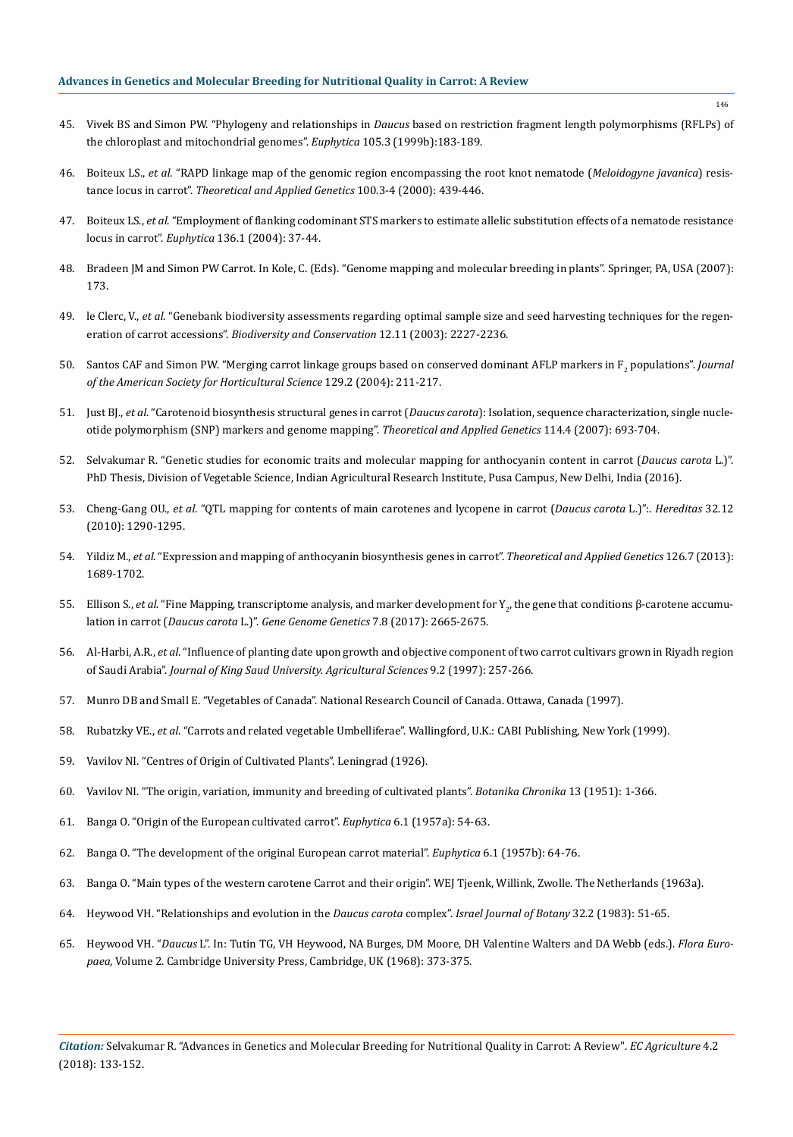- 45. Vivek BS and Simon PW. "Phylogeny and relationships in *Daucus* [based on restriction fragment length polymorphisms \(RFLPs\) of](https://link.springer.com/article/10.1023/A:1003446301145) [the chloroplast and mitochondrial genomes".](https://link.springer.com/article/10.1023/A:1003446301145) *Euphytica* 105.3 (1999b):183-189.
- 46. Boiteux LS., *et al*[. "RAPD linkage map of the genomic region encompassing the root knot nematode \(](https://link.springer.com/article/10.1007/s001220050057)*Meloidogyne javanica*) resistance locus in carrot". *[Theoretical and Applied Genetics](https://link.springer.com/article/10.1007/s001220050057)* 100.3-4 (2000): 439-446.
- 47. Boiteux LS., *et al*[. "Employment of flanking codominant STS markers to estimate allelic substitution effects of a nematode resistance](https://link.springer.com/article/10.1023/B:EUPH.0000019508.78153.dd) locus in carrot". *Euphytica* [136.1 \(2004\): 37-44.](https://link.springer.com/article/10.1023/B:EUPH.0000019508.78153.dd)
- 48. [Bradeen JM and Simon PW Carrot. In Kole, C. \(Eds\). "Genome mapping and molecular breeding in plants". Springer, PA, USA \(2007\):](https://www.springer.com/series/7367) [173.](https://www.springer.com/series/7367)
- 49. le Clerc, V., *et al*[. "Genebank biodiversity assessments regarding optimal sample size and seed harvesting techniques for the regen](https://link.springer.com/article/10.1023/A:1024562701150)eration of carrot accessions". *[Biodiversity and Conservation](https://link.springer.com/article/10.1023/A:1024562701150)* 12.11 (2003): 2227-2236.
- 50. [Santos CAF and Simon PW. "Merging carrot linkage groups based on conserved dominant AFLP markers in F2](http://journal.ashspublications.org/content/129/2/211.abstract) populations". *Journal [of the American Society for Horticultural Science](http://journal.ashspublications.org/content/129/2/211.abstract)* 129.2 (2004): 211-217.
- 51. Just BJ., *et al*[. "Carotenoid biosynthesis structural genes in carrot \(](https://www.ncbi.nlm.nih.gov/pubmed/17186217)*Daucus carota*): Isolation, sequence characterization, single nucle[otide polymorphism \(SNP\) markers and genome mapping".](https://www.ncbi.nlm.nih.gov/pubmed/17186217) *Theoretical and Applied Genetics* 114.4 (2007): 693-704.
- 52. [Selvakumar R. "Genetic studies for economic traits and molecular mapping for anthocyanin content in carrot \(](http://krishikosh.egranth.ac.in/handle/1/5810034911)*Daucus carota* L.)". [PhD Thesis, Division of Vegetable Science, Indian Agricultural Research Institute, Pusa Campus, New Delhi, India \(2016\).](http://krishikosh.egranth.ac.in/handle/1/5810034911)
- 53. Cheng-Gang OU., *et al*[. "QTL mapping for contents of main carotenes and lycopene in carrot \(](https://www.ncbi.nlm.nih.gov/pubmed/21513156)*Daucus carota* L.)":. *Hereditas* 32.12 [\(2010\): 1290-1295.](https://www.ncbi.nlm.nih.gov/pubmed/21513156)
- 54. Yildiz M., *et al*[. "Expression and mapping of anthocyanin biosynthesis genes in carrot".](https://www.ncbi.nlm.nih.gov/pubmed/23525633) *Theoretical and Applied Genetics* 126.7 (2013): [1689-1702.](https://www.ncbi.nlm.nih.gov/pubmed/23525633)
- 55. Ellison S., *et al*[. "Fine Mapping, transcriptome analysis, and marker development for Y](https://www.ncbi.nlm.nih.gov/pubmed/28663343)<sub>2</sub>, the gene that conditions β-carotene accumulation in carrot (*Daucus carota* L.)". *[Gene Genome Genetics](https://www.ncbi.nlm.nih.gov/pubmed/28663343)* 7.8 (2017): 2665-2675.
- 56. Al-Harbi, A.R., *et al*. "Influence of planting date upon growth and objective component of two carrot cultivars grown in Riyadh region of Saudi Arabia". *Journal of King Saud University. Agricultural Sciences* 9.2 (1997): 257-266.
- 57. Munro DB and Small E. "Vegetables of Canada". National Research Council of Canada. Ottawa, Canada (1997).
- 58. Rubatzky VE., *et al*. "Carrots and related vegetable Umbelliferae". Wallingford, U.K.: CABI Publishing, New York (1999).
- 59. Vavilov NI. "Centres of Origin of Cultivated Plants". Leningrad (1926).
- 60. Vavilov NI. "The origin, variation, immunity and breeding of cultivated plants". *Botanika Chronika* 13 (1951): 1-366.
- 61. [Banga O. "Origin of the European cultivated carrot".](https://link.springer.com/article/10.1007/BF00179518) *Euphytica* 6.1 (1957a): 54-63.
- 62. [Banga O. "The development of the original European carrot material".](https://link.springer.com/article/10.1007/BF00179519) *Euphytica* 6.1 (1957b): 64-76.
- 63. Banga O. "Main types of the western carotene Carrot and their origin". WEJ Tjeenk, Willink, Zwolle. The Netherlands (1963a).
- 64. [Heywood VH. "Relationships and evolution in the](https://www.tandfonline.com/doi/abs/10.1080/0021213X.1983.10676964) *Daucus carota* complex". *Israel Journal of Botany* 32.2 (1983): 51-65.
- 65. Heywood VH. "*Daucus* L". In: Tutin TG, VH Heywood, NA Burges, DM Moore, DH Valentine Walters and DA Webb (eds.). *Flora Europaea*, Volume 2. Cambridge University Press, Cambridge, UK (1968): 373-375.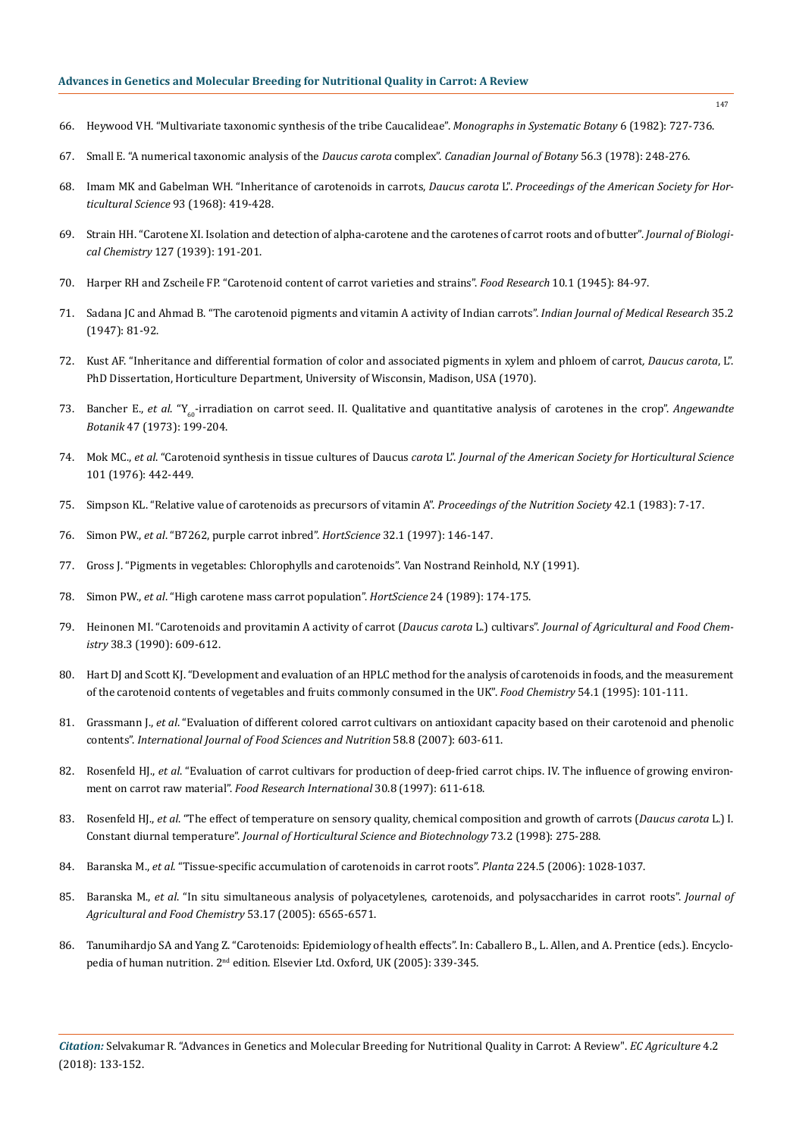- 66. [Heywood VH. "Multivariate taxonomic synthesis of the tribe Caucalideae".](http://agris.fao.org/agris-search/search.do?recordID=US201302158957) *Monographs in Systematic Botany* 6 (1982): 727-736.
- 67. [Small E. "A numerical taxonomic analysis of the](https://www.researchgate.net/publication/237160161_A_numerical_taxonomic_analysis_of_the_Daucus_carota_complex) *Daucus carota* complex". *Canadian Journal of Botany* 56.3 (1978): 248-276.
- 68. Imam MK and Gabelman WH. "Inheritance of carotenoids in carrots, *Daucus carota* L". *Proceedings of the American Society for Horticultural Science* 93 (1968): 419-428.
- 69. [Strain HH. "Carotene XI. Isolation and detection of alpha-carotene and the carotenes of carrot roots and of butter".](https://www.cabdirect.org/cabdirect/abstract/19391400177) *Journal of Biological Chemistry* [127 \(1939\): 191-201.](https://www.cabdirect.org/cabdirect/abstract/19391400177)
- 70. [Harper RH and Zscheile FP. "Carotenoid content of carrot varieties and strains".](https://onlinelibrary.wiley.com/doi/abs/10.1111/j.1365-2621.1945.tb16150.x) *Food Research* 10.1 (1945): 84-97.
- 71. [Sadana JC and Ahmad B. "The carotenoid pigments and vitamin A activity of Indian carrots".](https://www.ncbi.nlm.nih.gov/pubmed/20261338) *Indian Journal of Medical Research* 35.2 [\(1947\): 81-92.](https://www.ncbi.nlm.nih.gov/pubmed/20261338)
- 72. Kust AF. "Inheritance and differential formation of color and associated pigments in xylem and phloem of carrot*, Daucus carota*, L". PhD Dissertation, Horticulture Department, University of Wisconsin, Madison, USA (1970).
- 73. Bancher E., *et al.* "Y<sub>60</sub>-irradiation on carrot seed. II. Qualitative and quantitative analysis of carotenes in the crop". *Angewandte Botanik* 47 (1973): 199-204.
- 74. Mok MC., *et al*. "Carotenoid synthesis in tissue cultures of Daucus *carota* L". *Journal of the American Society for Horticultural Science*  101 (1976): 442-449.
- 75. [Simpson KL. "Relative value of carotenoids as precursors of vitamin A".](https://www.ncbi.nlm.nih.gov/pubmed/6340125) *Proceedings of the Nutrition Society* 42.1 (1983): 7-17.
- 76. Simon PW., *et al*[. "B7262, purple carrot inbred".](http://hortsci.ashspublications.org/content/32/1/146.full.pdf+html) *HortScience* 32.1 (1997): 146-147.
- 77. Gross J. "Pigments in vegetables: Chlorophylls and carotenoids". Van Nostrand Reinhold, N.Y (1991).
- 78. Simon PW., *et al*[. "High carotene mass carrot population".](http://agris.fao.org/agris-search/search.do?recordID=US8905707) *HortScience* 24 (1989): 174-175.
- 79. [Heinonen MI. "Carotenoids and provitamin A activity of carrot \(](https://pubs.acs.org/doi/abs/10.1021/jf00093a005)*Daucus carota* L.) cultivars". *Journal of Agricultural and Food Chemistry* [38.3 \(1990\): 609-612.](https://pubs.acs.org/doi/abs/10.1021/jf00093a005)
- 80. [Hart DJ and Scott KJ. "Development and evaluation of an HPLC method for the analysis of carotenoids in foods, and the measurement](https://www.sciencedirect.com/science/article/pii/030881469592669B)  [of the carotenoid contents of vegetables and fruits commonly consumed in the UK".](https://www.sciencedirect.com/science/article/pii/030881469592669B) *Food Chemistry* 54.1 (1995): 101-111.
- 81. Grassmann J., *et al*[. "Evaluation of different colored carrot cultivars on antioxidant capacity based on their carotenoid and phenolic](https://www.ncbi.nlm.nih.gov/pubmed/17852466)  contents". *[International Journal of Food Sciences and Nutrition](https://www.ncbi.nlm.nih.gov/pubmed/17852466)* 58.8 (2007): 603-611.
- 82. Rosenfeld HJ., *et al*[. "Evaluation of carrot cultivars for production of deep-fried carrot chips. IV. The influence of growing environ](https://www.sciencedirect.com/science/article/pii/S096399699800026X)ment on carrot raw material". *[Food Research International](https://www.sciencedirect.com/science/article/pii/S096399699800026X)* 30.8 (1997): 611-618.
- 83. Rosenfeld HJ., *et al*[. "The effect of temperature on sensory quality, chemical composition and growth of carrots \(](https://www.tandfonline.com/doi/abs/10.1080/14620316.1998.11510975)*Daucus carota* L.) I. Constant diurnal temperature". *[Journal of Horticultural Science and Biotechnology](https://www.tandfonline.com/doi/abs/10.1080/14620316.1998.11510975)* 73.2 (1998): 275-288.
- 84. Baranska M., *et al*[. "Tissue-specific accumulation of carotenoids in carrot roots".](https://www.ncbi.nlm.nih.gov/pubmed/16699778) *Planta* 224.5 (2006): 1028-1037.
- 85. Baranska M., *et al*[. "In situ simultaneous analysis of polyacetylenes, carotenoids, and polysaccharides in carrot roots".](https://www.ncbi.nlm.nih.gov/pubmed/16104767) *Journal of [Agricultural and Food Chemistry](https://www.ncbi.nlm.nih.gov/pubmed/16104767)* 53.17 (2005): 6565-6571.
- 86. Tanumihardjo SA and Yang Z. "Carotenoids: Epidemiology of health effects". In: Caballero B., L. Allen, and A. Prentice (eds.). Encyclopedia of human nutrition. 2<sup>nd</sup> edition. Elsevier Ltd. Oxford, UK (2005): 339-345.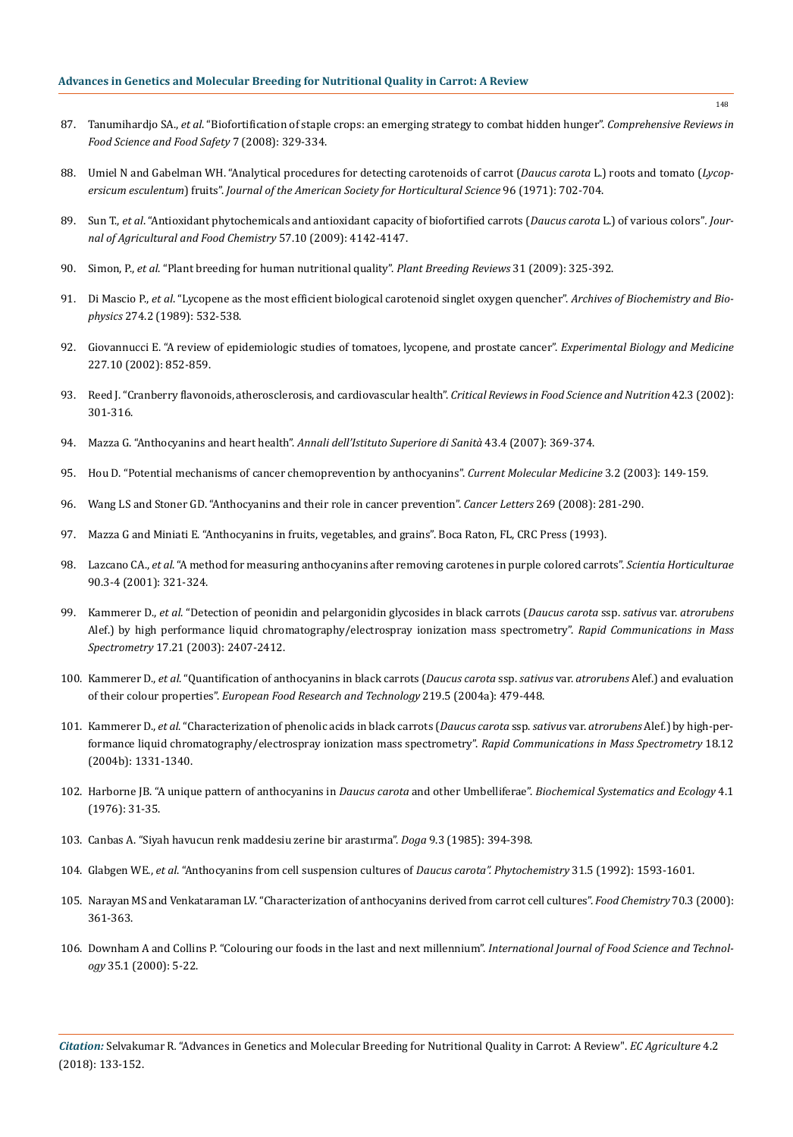- 87. Tanumihardjo SA., *et al*[. "Biofortification of staple crops: an emerging strategy to combat hidden hunger".](https://www.researchgate.net/publication/299078305_Biofortification_of_staple_crops_An_emerging_strategy_to_combat_hidden_hunger) *Comprehensive Reviews in [Food Science and Food Safety](https://www.researchgate.net/publication/299078305_Biofortification_of_staple_crops_An_emerging_strategy_to_combat_hidden_hunger)* 7 (2008): 329-334.
- 88. [Umiel N and Gabelman WH. "Analytical procedures for detecting carotenoids of carrot \(](http://agris.fao.org/agris-search/search.do?recordID=US201302242568)*Daucus carota* L.) roots and tomato (*Lycopersicum esculentum*) fruits". *[Journal of the American Society for Horticultural Science](http://agris.fao.org/agris-search/search.do?recordID=US201302242568)* 96 (1971): 702-704.
- 89. Sun T., *et al*[. "Antioxidant phytochemicals and antioxidant capacity of biofortified carrots \(](https://www.ncbi.nlm.nih.gov/pubmed/19358535)*Daucus carota* L.) of various colors"*. Jour[nal of Agricultural and Food Chemistry](https://www.ncbi.nlm.nih.gov/pubmed/19358535)* 57.10 (2009): 4142-4147.
- 90. Simon, P., *et al*[. "Plant breeding for human nutritional quality".](https://onlinelibrary.wiley.com/doi/abs/10.1002/9780470593783.ch7) *Plant Breeding Reviews* 31 (2009): 325-392.
- 91. Di Mascio P., *et al*[. "Lycopene as the most efficient biological carotenoid singlet oxygen quencher".](https://www.ncbi.nlm.nih.gov/pubmed/2802626) *Archives of Biochemistry and Biophysics* [274.2 \(1989\): 532-538.](https://www.ncbi.nlm.nih.gov/pubmed/2802626)
- 92. [Giovannucci E. "A review of epidemiologic studies of tomatoes, lycopene, and prostate cancer".](https://www.ncbi.nlm.nih.gov/pubmed/12424325) *Experimental Biology and Medicine*  [227.10 \(2002\): 852-859.](https://www.ncbi.nlm.nih.gov/pubmed/12424325)
- 93. [Reed J. "Cranberry flavonoids, atherosclerosis, and cardiovascular health".](https://www.ncbi.nlm.nih.gov/pubmed/12058989) *Critical Reviews in Food Science and Nutrition* 42.3 (2002): [301-316.](https://www.ncbi.nlm.nih.gov/pubmed/12058989)
- 94. Mazza G. "Anthocyanins and heart health". *[Annali dell'Istituto Superiore di Sanità](https://www.ncbi.nlm.nih.gov/pubmed/18209270)* 43.4 (2007): 369-374.
- 95. [Hou D. "Potential mechanisms of cancer chemoprevention by anthocyanins".](https://www.ncbi.nlm.nih.gov/pubmed/12630561) *Current Molecular Medicine* 3.2 (2003): 149-159.
- 96. [Wang LS and Stoner GD. "Anthocyanins and their role in cancer prevention".](https://www.ncbi.nlm.nih.gov/pmc/articles/PMC2582525/) *Cancer Letters* 269 (2008): 281-290.
- 97. Mazza G and Miniati E. "Anthocyanins in fruits, vegetables, and grains". Boca Raton, FL, CRC Press (1993).
- 98. Lazcano CA., *et al*[. "A method for measuring anthocyanins after removing carotenes in purple colored carrots".](https://www.sciencedirect.com/science/article/pii/S030442380000248X) *Scientia Horticulturae*  [90.3-4 \(2001\): 321-324.](https://www.sciencedirect.com/science/article/pii/S030442380000248X)
- 99. Kammerer D., *et al*[. "Detection of peonidin and pelargonidin glycosides in black carrots \(](https://www.ncbi.nlm.nih.gov/pubmed/14587087)*Daucus carota* ssp. *sativus* var. *atrorubens*  [Alef.\) by high performance liquid chromatography/electrospray ionization mass spectrometry".](https://www.ncbi.nlm.nih.gov/pubmed/14587087) *Rapid Communications in Mass Spectrometry* [17.21 \(2003\): 2407-2412.](https://www.ncbi.nlm.nih.gov/pubmed/14587087)
- 100. Kammerer D., *et al*[. "Quantification of anthocyanins in black carrots \(](https://link.springer.com/article/10.1007/s00217-004-0976-4)*Daucus carota* ssp. *sativus* var. *atrorubens* Alef.) and evaluation of their colour properties". *[European Food Research and Technology](https://link.springer.com/article/10.1007/s00217-004-0976-4)* 219.5 (2004a): 479-448.
- 101. Kammerer D., *et al*[. "Characterization of phenolic acids in black carrots \(](https://www.ncbi.nlm.nih.gov/pubmed/15174188)*Daucus carota* ssp. *sativus* var. *atrorubens* Alef.) by high-per[formance liquid chromatography/electrospray ionization mass spectrometry".](https://www.ncbi.nlm.nih.gov/pubmed/15174188) *Rapid Communications in Mass Spectrometry* 18.12 [\(2004b\): 1331-1340.](https://www.ncbi.nlm.nih.gov/pubmed/15174188)
- 102. [Harborne JB. "A unique pattern of anthocyanins in](https://www.sciencedirect.com/science/article/pii/0305197876900065) *Daucus carota* and other Umbelliferae". *Biochemical Systematics and Ecology* 4.1 [\(1976\): 31-35.](https://www.sciencedirect.com/science/article/pii/0305197876900065)
- 103. Canbas A. "Siyah havucun renk maddesiu zerine bir arastırma". *Doga* 9.3 (1985): 394-398.
- 104. Glabgen WE., *et al*[. "Anthocyanins from cell suspension cultures of](https://www.sciencedirect.com/science/article/abs/pii/003194229283113D) *Daucus carota". Phytochemistry* 31.5 (1992): 1593-1601.
- 105. [Narayan MS and Venkataraman LV. "Characterization of anthocyanins derived from carrot cell cultures".](https://www.sciencedirect.com/science/article/pii/S0308814600001047) *Food Chemistry* 70.3 (2000): [361-363.](https://www.sciencedirect.com/science/article/pii/S0308814600001047)
- 106. [Downham A and Collins P. "Colouring our foods in the last and next millennium".](https://onlinelibrary.wiley.com/doi/abs/10.1046/j.1365-2621.2000.00373.x) *International Journal of Food Science and Technology* [35.1 \(2000\): 5-22.](https://onlinelibrary.wiley.com/doi/abs/10.1046/j.1365-2621.2000.00373.x)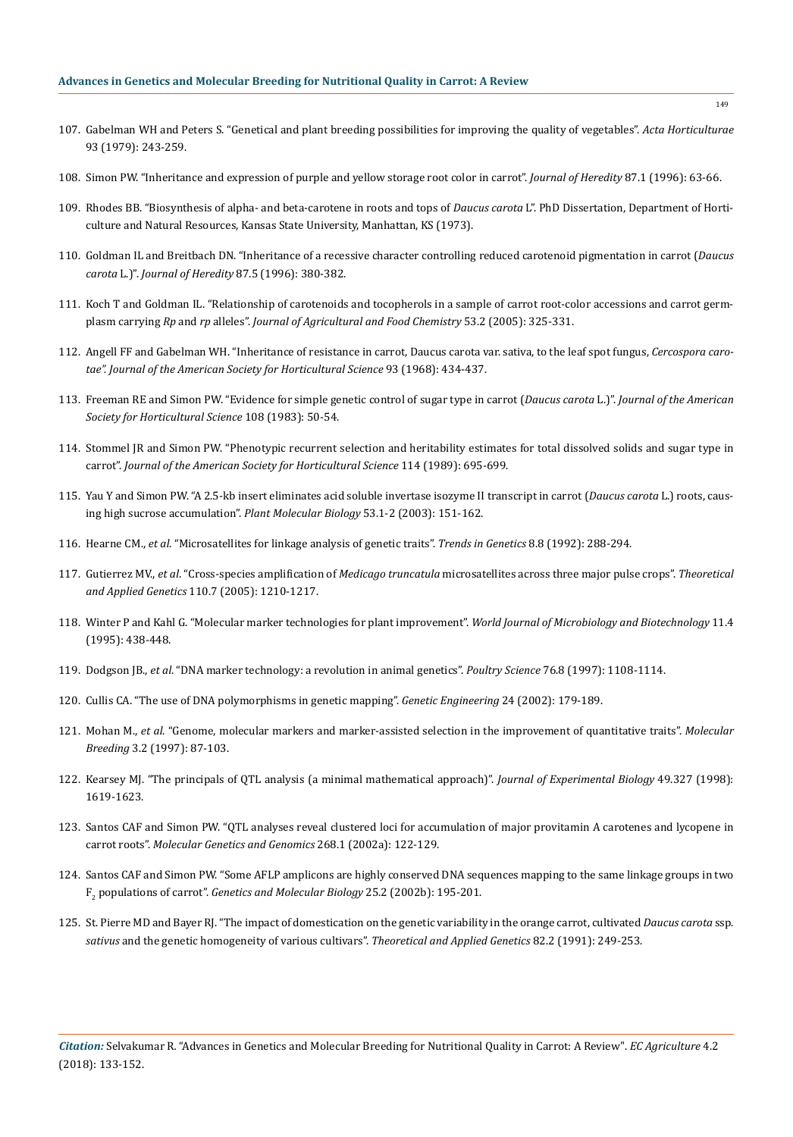- 107. [Gabelman WH and Peters S. "Genetical and plant breeding possibilities for improving the quality of vegetables".](https://www.actahort.org/books/93/93_24.htm) *Acta Horticulturae*  [93 \(1979\): 243-259.](https://www.actahort.org/books/93/93_24.htm)
- 108. [Simon PW. "Inheritance and expression of purple and yellow storage root color in carrot".](https://academic.oup.com/jhered/article/87/1/63/791154) *Journal of Heredity* 87.1 (1996): 63-66.
- 109. Rhodes BB. "Biosynthesis of alpha- and beta-carotene in roots and tops of *Daucus carota* L". PhD Dissertation, Department of Horticulture and Natural Resources, Kansas State University, Manhattan, KS (1973).
- 110. [Goldman IL and Breitbach DN. "Inheritance of a recessive character controlling reduced carotenoid pigmentation in carrot \(](https://academic.oup.com/jhered/article/87/5/380/816137)*Daucus carota* L.)". *Journal of Heredity* [87.5 \(1996\): 380-382.](https://academic.oup.com/jhered/article/87/5/380/816137)
- 111. [Koch T and Goldman IL. "Relationship of carotenoids and tocopherols in a sample of carrot root-color accessions and carrot germ](https://www.ncbi.nlm.nih.gov/pubmed/15656668)plasm carrying *Rp* and *rp* alleles". *[Journal of Agricultural and Food Chemistry](https://www.ncbi.nlm.nih.gov/pubmed/15656668)* 53.2 (2005): 325-331.
- 112. Angell FF and Gabelman WH. "Inheritance of resistance in carrot, Daucus carota var. sativa, to the leaf spot fungus, *Cercospora carotae". Journal of the American Society for Horticultural Science* 93 (1968): 434-437.
- 113. Freeman RE and Simon PW. "Evidence for simple genetic control of sugar type in carrot (*Daucus carota* L.)". *Journal of the American Society for Horticultural Science* 108 (1983): 50-54.
- 114. Stommel JR and Simon PW. "Phenotypic recurrent selection and heritability estimates for total dissolved solids and sugar type in carrot". *Journal of the American Society for Horticultural Science* 114 (1989): 695-699.
- 115. [Yau Y and Simon PW. "A 2.5-kb insert eliminates acid soluble invertase isozyme II transcript in carrot \(](https://www.ncbi.nlm.nih.gov/pubmed/14756313)*Daucus carota* L.) roots, caus[ing high sucrose accumulation".](https://www.ncbi.nlm.nih.gov/pubmed/14756313) *Plant Molecular Biology* 53.1-2 (2003): 151-162.
- 116. Hearne CM., *et al*[. "Microsatellites for linkage analysis of genetic traits".](https://www.ncbi.nlm.nih.gov/pubmed/1509520) *Trends in Genetics* 8.8 (1992): 288-294.
- 117. Gutierrez MV., *et al*. "Cross-species amplification of *Medicago truncatula* [microsatellites across three major pulse crops".](https://www.ncbi.nlm.nih.gov/pubmed/15806349) *Theoretical and Applied Genetics* [110.7 \(2005\): 1210-1217.](https://www.ncbi.nlm.nih.gov/pubmed/15806349)
- 118. [Winter P and Kahl G. "Molecular marker technologies for plant improvement".](https://www.ncbi.nlm.nih.gov/pubmed/24414752) *World Journal of Microbiology and Biotechnology* 11.4 [\(1995\): 438-448.](https://www.ncbi.nlm.nih.gov/pubmed/24414752)
- 119. Dodgson JB., *et al*[. "DNA marker technology: a revolution in animal genetics".](https://www.ncbi.nlm.nih.gov/pubmed/9251136) *Poultry Science* 76.8 (1997): 1108-1114.
- 120. [Cullis CA. "The use of DNA polymorphisms in genetic mapping".](https://www.ncbi.nlm.nih.gov/pubmed/12416305) *Genetic Engineering* 24 (2002): 179-189.
- 121. Mohan M., *et al*[. "Genome, molecular markers and marker-assisted selection in the improvement of quantitative traits".](https://link.springer.com/article/10.1023%2FA%3A1009651919792) *Molecular Breeding* [3.2 \(1997\): 87-103.](https://link.springer.com/article/10.1023%2FA%3A1009651919792)
- 122. [Kearsey MJ. "The principals of QTL analysis \(a minimal mathematical approach\)".](https://academic.oup.com/jxb/article/49/327/1619/442590) *Journal of Experimental Biology* 49.327 (1998): [1619-1623.](https://academic.oup.com/jxb/article/49/327/1619/442590)
- 123. [Santos CAF and Simon PW. "QTL analyses reveal clustered loci for accumulation of major provitamin A carotenes and lycopene in](https://www.ncbi.nlm.nih.gov/pubmed/12242507)  carrot roots". *[Molecular Genetics and Genomics](https://www.ncbi.nlm.nih.gov/pubmed/12242507)* 268.1 (2002a): 122-129.
- 124. [Santos CAF and Simon PW. "Some AFLP amplicons are highly conserved DNA sequences mapping to the same linkage groups in two](http://www.scielo.br/scielo.php?script=sci_arttext&pid=S1415-47572002000200013)  F2 populations of carrot". *[Genetics and Molecular Biology](http://www.scielo.br/scielo.php?script=sci_arttext&pid=S1415-47572002000200013)* 25.2 (2002b): 195-201.
- 125. [St. Pierre MD and Bayer RJ. "The impact of domestication on the genetic variability in the orange carrot, cultivated](https://link.springer.com/article/10.1007/BF00226221) *Daucus carota* ssp. *sativus* [and the genetic homogeneity of various cultivars".](https://link.springer.com/article/10.1007/BF00226221) *Theoretical and Applied Genetics* 82.2 (1991): 249-253.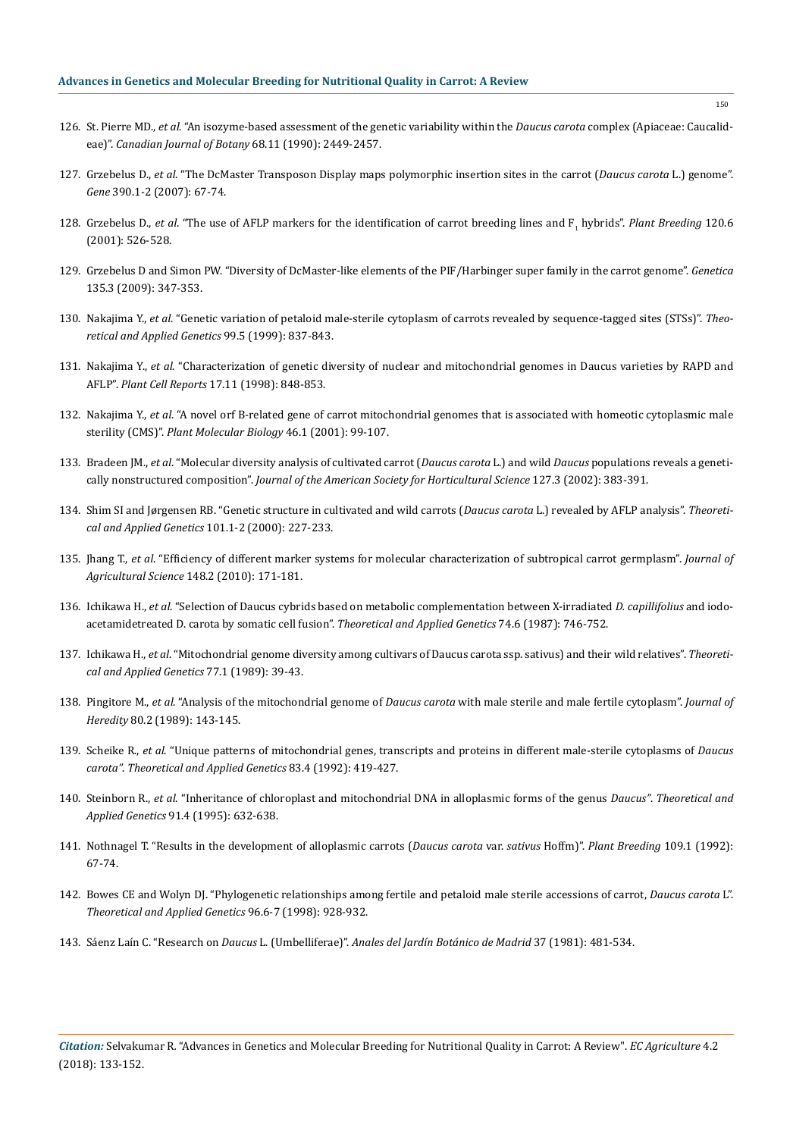- 126. St. Pierre MD., *et al*[. "An isozyme-based assessment of the genetic variability within the](http://www.nrcresearchpress.com/doi/abs/10.1139/b90-311) *Daucus carota* complex (Apiaceae: Caucalideae)". *[Canadian Journal of Botany](http://www.nrcresearchpress.com/doi/abs/10.1139/b90-311)* 68.11 (1990): 2449-2457.
- 127. Grzebelus D., *et al*[. "The DcMaster Transposon Display maps polymorphic insertion sites in the carrot \(](https://www.ncbi.nlm.nih.gov/pubmed/17011731)*Daucus carota* L.) genome". *Gene* [390.1-2 \(2007\): 67-74.](https://www.ncbi.nlm.nih.gov/pubmed/17011731)
- 128. Grzebelus D., *et al.* "The use of AFLP markers for the identification of carrot breeding lines and F<sub>1</sub> hybrids". Plant Breeding 120.6 [\(2001\): 526-528.](https://onlinelibrary.wiley.com/doi/abs/10.1046/j.1439-0523.2001.00647.x)
- 129. [Grzebelus D and Simon PW. "Diversity of DcMaster-like elements of the PIF/Harbinger super family in the carrot genome".](https://www.ncbi.nlm.nih.gov/pubmed/18535910) *Genetica*  [135.3 \(2009\): 347-353.](https://www.ncbi.nlm.nih.gov/pubmed/18535910)
- 130. Nakajima Y., *et al*[. "Genetic variation of petaloid male-sterile cytoplasm of carrots revealed by sequence-tagged sites \(STSs\)".](https://link.springer.com/article/10.1007/s001220051303) *Theo[retical and Applied Genetics](https://link.springer.com/article/10.1007/s001220051303)* 99.5 (1999): 837-843.
- 131. Nakajima Y., *et al*[. "Characterization of genetic diversity of nuclear and mitochondrial genomes in Daucus varieties by RAPD and](https://link.springer.com/article/10.1007/s002990050496)  AFLP". *Plant Cell Reports* [17.11 \(1998\): 848-853.](https://link.springer.com/article/10.1007/s002990050496)
- 132. Nakajima Y., *et al*[. "A novel orf B-related gene of carrot mitochondrial genomes that is associated with homeotic cytoplasmic male](https://www.ncbi.nlm.nih.gov/pubmed/11437254)  sterility (CMS)". *[Plant Molecular Biology](https://www.ncbi.nlm.nih.gov/pubmed/11437254)* 46.1 (2001): 99-107.
- 133. Bradeen JM., *et al*[. "Molecular diversity analysis of cultivated carrot \(](http://journal.ashspublications.org/content/127/3/383.abstract)*Daucus carota* L.) and wild *Daucus* populations reveals a genetically nonstructured composition". *[Journal of the American Society for Horticultural Science](http://journal.ashspublications.org/content/127/3/383.abstract)* 127.3 (2002): 383-391.
- 134. [Shim SI and Jørgensen RB. "Genetic structure in cultivated and wild carrots \(](https://link.springer.com/article/10.1007/s001220051473)*Daucus carota* L.) revealed by AFLP analysis". *Theoreti[cal and Applied Genetics](https://link.springer.com/article/10.1007/s001220051473)* 101.1-2 (2000): 227-233.
- 135. Jhang T., *et al*[. "Efficiency of different marker systems for molecular characterization of subtropical carrot germplasm".](https://www.cambridge.org/core/journals/journal-of-agricultural-science/article/efficiency-of-different-marker-systems-for-molecular-characterization-of-subtropical-carrot-germplasm/A95E2A011D1205FC37DF13ED2BD7B722) *Journal of [Agricultural Science](https://www.cambridge.org/core/journals/journal-of-agricultural-science/article/efficiency-of-different-marker-systems-for-molecular-characterization-of-subtropical-carrot-germplasm/A95E2A011D1205FC37DF13ED2BD7B722)* 148.2 (2010): 171-181.
- 136. Ichikawa H., *et al*[. "Selection of Daucus cybrids based on metabolic complementation between X-irradiated](https://www.ncbi.nlm.nih.gov/pubmed/24240335) *D. capillifolius* and iodo[acetamidetreated D. carota by somatic cell fusion".](https://www.ncbi.nlm.nih.gov/pubmed/24240335) *Theoretical and Applied Genetics* 74.6 (1987): 746-752.
- 137. Ichikawa H., *et al*[. "Mitochondrial genome diversity among cultivars of Daucus carota ssp. sativus\) and their wild relatives".](https://www.ncbi.nlm.nih.gov/pubmed/24232471) *Theoreti[cal and Applied Genetics](https://www.ncbi.nlm.nih.gov/pubmed/24232471)* 77.1 (1989): 39-43.
- 138. Pingitore M., *et al*. "Analysis of the mitochondrial genome of *Daucus carota* [with male sterile and male fertile cytoplasm".](https://academic.oup.com/jhered/article-abstract/80/2/143/902751?redirectedFrom=fulltext) *Journal of Heredity* [80.2 \(1989\): 143-145.](https://academic.oup.com/jhered/article-abstract/80/2/143/902751?redirectedFrom=fulltext)
- 139. Scheike R., *et al*[. "Unique patterns of mitochondrial genes, transcripts and proteins in different male-sterile cytoplasms of](https://www.ncbi.nlm.nih.gov/pubmed/24202587) *Daucus carota"*. *[Theoretical and Applied Genetics](https://www.ncbi.nlm.nih.gov/pubmed/24202587)* 83.4 (1992): 419-427.
- 140. Steinborn R., *et al*[. "Inheritance of chloroplast and mitochondrial DNA in alloplasmic forms of the genus](https://www.ncbi.nlm.nih.gov/pubmed/24169891) *Daucus"*. *Theoretical and Applied Genetics* [91.4 \(1995\): 632-638.](https://www.ncbi.nlm.nih.gov/pubmed/24169891)
- 141. [Nothnagel T. "Results in the development of alloplasmic carrots \(](https://onlinelibrary.wiley.com/doi/abs/10.1111/j.1439-0523.1992.tb00152.x)*Daucus carota* var. *sativus* Hoffm)". *Plant Breeding* 109.1 (1992): [67-74.](https://onlinelibrary.wiley.com/doi/abs/10.1111/j.1439-0523.1992.tb00152.x)
- 142. [Bowes CE and Wolyn DJ. "Phylogenetic relationships among fertile and petaloid male sterile accessions of carrot,](https://link.springer.com/article/10.1007/s001220050822) *Daucus carota* L". *[Theoretical and Applied Genetics](https://link.springer.com/article/10.1007/s001220050822)* 96.6-7 (1998): 928-932.
- 143. Sáenz Laín C. "Research on *Daucus* L. (Umbelliferae)". *[Anales del Jardín Botánico de Madrid](https://dialnet.unirioja.es/descarga/articulo/2989274.pdf)* 37 (1981): 481-534.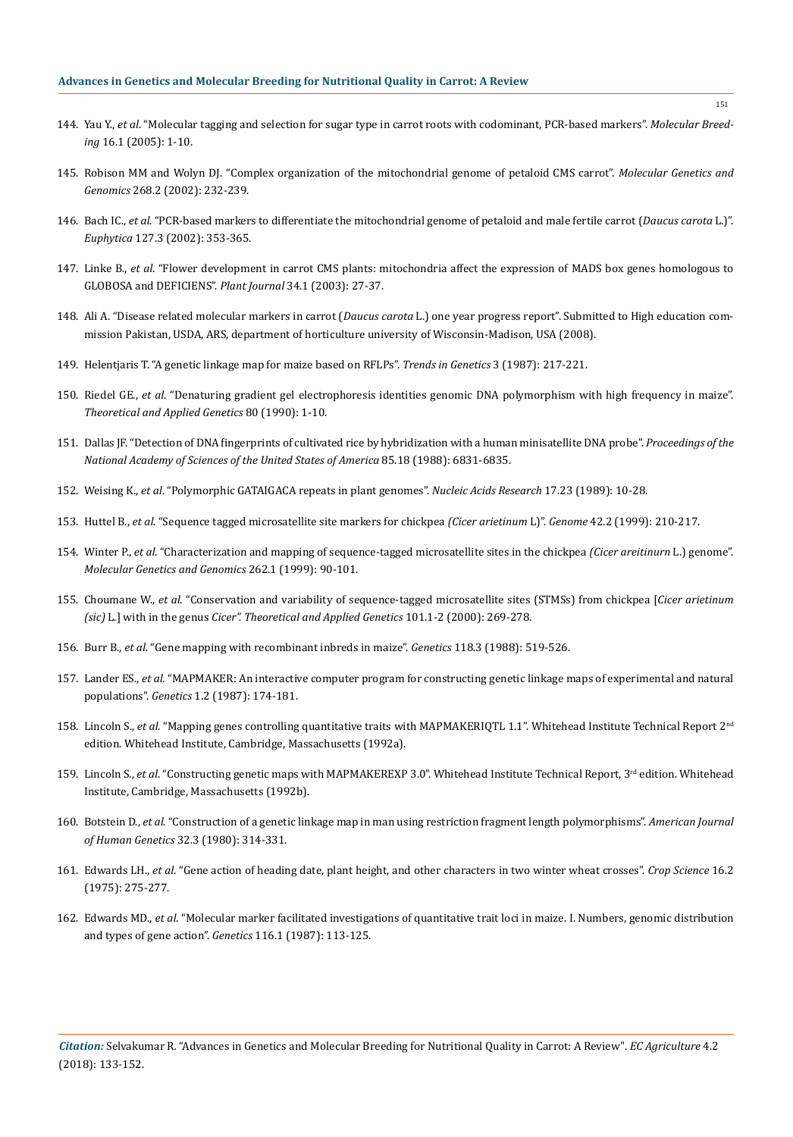- 144. Yau Y., *et al*[. "Molecular tagging and selection for sugar type in carrot roots with codominant, PCR-based markers".](https://link.springer.com/article/10.1007/s11032-004-6669-7) *Molecular Breeding* [16.1 \(2005\): 1-10.](https://link.springer.com/article/10.1007/s11032-004-6669-7)
- 145. [Robison MM and Wolyn DJ. "Complex organization of the mitochondrial genome of petaloid CMS carrot".](https://www.ncbi.nlm.nih.gov/pubmed/12395197) *Molecular Genetics and Genomics* [268.2 \(2002\): 232-239.](https://www.ncbi.nlm.nih.gov/pubmed/12395197)
- 146. Bach IC., *et al*[. "PCR-based markers to differentiate the mitochondrial genome of petaloid and male fertile carrot \(](https://link.springer.com/article/10.1023/A:1020314802236)*Daucus carota* L.)". *Euphytica* [127.3 \(2002\): 353-365.](https://link.springer.com/article/10.1023/A:1020314802236)
- 147. Linke B., *et al*[. "Flower development in carrot CMS plants: mitochondria affect the expression of MADS box genes homologous to](https://www.ncbi.nlm.nih.gov/pubmed/12662306)  [GLOBOSA and DEFICIENS".](https://www.ncbi.nlm.nih.gov/pubmed/12662306) *Plant Journal* 34.1 (2003): 27-37.
- 148. Ali A. "Disease related molecular markers in carrot (*Daucus carota* L.) one year progress report". Submitted to High education commission Pakistan, USDA, ARS, department of horticulture university of Wisconsin-Madison, USA (2008).
- 149. [Helentjaris T. "A genetic linkage map for maize based on RFLPs".](https://www.sciencedirect.com/science/article/pii/0168952587902393) *Trends in Genetics* 3 (1987): 217-221.
- 150. Riedel GE., *et al*. "Denaturing gradient gel electrophoresis identities genomic DNA polymorphism with high frequency in maize". *Theoretical and Applied Genetics* 80 (1990): 1-10.
- 151. [Dallas JF. "Detection of DNA fingerprints of cultivated rice by hybridization with a human minisatellite DNA probe".](https://www.ncbi.nlm.nih.gov/pubmed/2901106) *Proceedings of the [National Academy of Sciences of the United States of America](https://www.ncbi.nlm.nih.gov/pubmed/2901106)* 85.18 (1988): 6831-6835.
- 152. Weising K., *et al*[. "Polymorphic GATAIGACA repeats in plant genomes".](https://www.ncbi.nlm.nih.gov/pubmed/2602131) *Nucleic Acids Research* 17.23 (1989): 10-28.
- 153. Huttel B., *et al*[. "Sequence tagged microsatellite site markers for chickpea](https://www.ncbi.nlm.nih.gov/pubmed/10231957) *(Cicer arietinum* L)". *Genome* 42.2 (1999): 210-217.
- 154. Winter P., *et al*[. "Characterization and mapping of sequence-tagged microsatellite sites in the chickpea](https://link.springer.com/article/10.1007/s004380051063) *(Cicer areitinurn* L.) genome". *[Molecular Genetics and Genomics](https://link.springer.com/article/10.1007/s004380051063)* 262.1 (1999): 90-101.
- 155. Choumane W., *et al*[. "Conservation and variability of sequence-tagged microsatellite sites \(STMSs\) from chickpea \[](https://link.springer.com/article/10.1007/s001220051479)*Cicer arietinum (sic)* L.] with in the genus *[Cicer". Theoretical and Applied Genetics](https://link.springer.com/article/10.1007/s001220051479)* 101.1-2 (2000): 269-278.
- 156. Burr B., *et al*[. "Gene mapping with recombinant inbreds in maize".](https://www.ncbi.nlm.nih.gov/pubmed/3366363) *Genetics* 118.3 (1988): 519-526.
- 157. Lander ES., *et al*[. "MAPMAKER: An interactive computer program for constructing genetic linkage maps of experimental and natural](https://www.ncbi.nlm.nih.gov/pubmed/3692487)  populations". *Genetics* [1.2 \(1987\): 174-181.](https://www.ncbi.nlm.nih.gov/pubmed/3692487)
- 158. Lincoln S., *et al*. "Mapping genes controlling quantitative traits with MAPMAKERIQTL 1.1". Whitehead Institute Technical Report 2nd edition. Whitehead Institute, Cambridge, Massachusetts (1992a).
- 159. Lincoln S., *et al*. "Constructing genetic maps with MAPMAKEREXP 3.0". Whitehead Institute Technical Report, 3rd edition. Whitehead Institute, Cambridge, Massachusetts (1992b).
- 160. Botstein D., *et al*[. "Construction of a genetic linkage map in man using restriction fragment length polymorphisms".](https://www.ncbi.nlm.nih.gov/pubmed/6247908) *American Journal [of Human Genetics](https://www.ncbi.nlm.nih.gov/pubmed/6247908)* 32.3 (1980): 314-331.
- 161. Edwards LH., *et al*[. "Gene action of heading date, plant height, and other characters in two winter wheat crosses".](https://dl.sciencesocieties.org/publications/cs/abstracts/16/2/CS0160020275?access=0&view=pdf) *Crop Science* 16.2 [\(1975\): 275-277.](https://dl.sciencesocieties.org/publications/cs/abstracts/16/2/CS0160020275?access=0&view=pdf)
- 162. Edwards MD., *et al*[. "Molecular marker facilitated investigations of quantitative trait loci in maize. I. Numbers, genomic distribution](https://www.ncbi.nlm.nih.gov/pubmed/3596228)  [and types of gene action".](https://www.ncbi.nlm.nih.gov/pubmed/3596228) *Genetics* 116.1 (1987): 113-125.